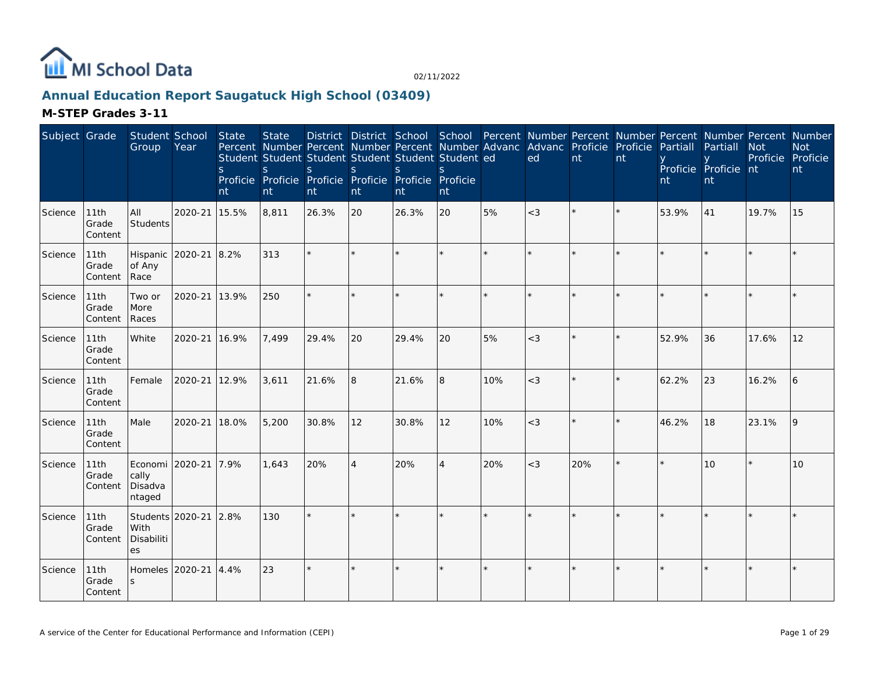

### **Annual Education Report Saugatuck High School (03409)**

| Subject Grade |                          | Student School<br>Group                            | Year          | State<br><sub>S</sub><br>nt | <b>State</b><br>S.<br>nt | <sub>S</sub><br>nt | S.<br>nt       | Percent Number Percent Number Percent Number Advanc<br>Student Student Student Student Student Student ed<br><sub>S</sub><br>Proficie Proficie Proficie Proficie Proficie Proficie<br>nt | S.<br>nt       |     | District District School School Percent Number Percent Number Percent Number Percent Number<br>Advanc Proficie<br>ed | nt      | Proficie<br>nt | Partiall<br>nt | Partiall<br>Proficie Proficie nt<br>nt | <b>Not</b><br>Proficie Proficie | <b>Not</b><br>nt |
|---------------|--------------------------|----------------------------------------------------|---------------|-----------------------------|--------------------------|--------------------|----------------|------------------------------------------------------------------------------------------------------------------------------------------------------------------------------------------|----------------|-----|----------------------------------------------------------------------------------------------------------------------|---------|----------------|----------------|----------------------------------------|---------------------------------|------------------|
| Science       | 11th<br>Grade<br>Content | All<br>Students                                    | 2020-21       | 15.5%                       | 8,811                    | 26.3%              | 20             | 26.3%                                                                                                                                                                                    | 20             | 5%  | $<$ 3                                                                                                                |         | $\star$        | 53.9%          | 41                                     | 19.7%                           | 15               |
| Science       | 11th<br>Grade<br>Content | Hispanic<br>of Any<br>Race                         | 2020-21 8.2%  |                             | 313                      |                    |                |                                                                                                                                                                                          |                |     |                                                                                                                      |         |                |                |                                        |                                 |                  |
| Science       | 11th<br>Grade<br>Content | Two or<br>More<br>Races                            | 2020-21 13.9% |                             | 250                      | $\star$            | $\star$        |                                                                                                                                                                                          |                |     |                                                                                                                      |         | ÷,             |                |                                        |                                 |                  |
| Science       | 11th<br>Grade<br>Content | White                                              | 2020-21 16.9% |                             | 7,499                    | 29.4%              | 20             | 29.4%                                                                                                                                                                                    | 20             | 5%  | $<$ 3                                                                                                                |         |                | 52.9%          | 36                                     | 17.6%                           | 12               |
| Science       | 11th<br>Grade<br>Content | Female                                             | 2020-21       | 12.9%                       | 3,611                    | 21.6%              | 8              | 21.6%                                                                                                                                                                                    | 8              | 10% | $<$ 3                                                                                                                |         |                | 62.2%          | 23                                     | 16.2%                           | 6                |
| Science       | 11th<br>Grade<br>Content | Male                                               | 2020-21 18.0% |                             | 5,200                    | 30.8%              | 12             | 30.8%                                                                                                                                                                                    | 12             | 10% | $<$ 3                                                                                                                | $\star$ | $\star$        | 46.2%          | 18                                     | 23.1%                           | 9                |
| Science       | 11th<br>Grade<br>Content | Economi 2020-21 7.9%<br>cally<br>Disadva<br>ntaged |               |                             | 1,643                    | 20%                | $\overline{4}$ | 20%                                                                                                                                                                                      | $\overline{4}$ | 20% | $<$ 3                                                                                                                | 20%     |                |                | 10 <sup>1</sup>                        |                                 | 10               |
| Science       | 11th<br>Grade<br>Content | Students 2020-21<br>With<br>Disabiliti<br>es       |               | 2.8%                        | 130                      | $\star$            |                |                                                                                                                                                                                          |                |     |                                                                                                                      |         |                |                |                                        |                                 |                  |
| Science       | 11th<br>Grade<br>Content | Homeles<br>S                                       | 2020-21       | 4.4%                        | 23                       | $\star$            |                |                                                                                                                                                                                          |                |     |                                                                                                                      |         | $\star$        |                |                                        |                                 | $\star$          |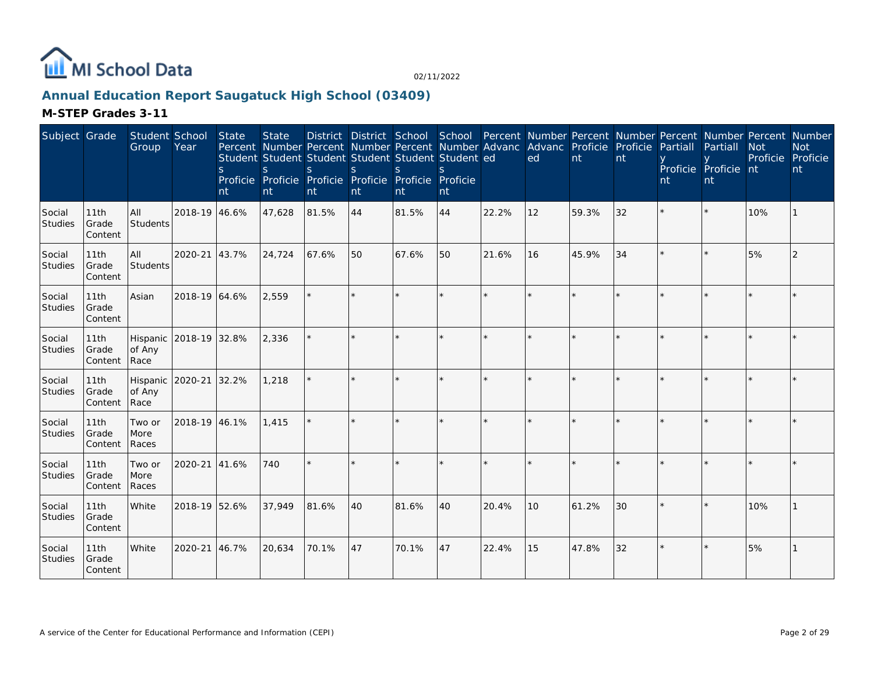

### **Annual Education Report Saugatuck High School (03409)**

| Subject Grade            |                          | Student School<br>Group                  | Year          | <b>State</b><br><sub>S</sub><br>nt | <b>State</b><br>S.<br>nt | Percent Number Percent Number Percent Number Advanc Advanc Proficie Proficie<br>Student Student Student Student Student Student ed<br>S.<br>Proficie Proficie Proficie Proficie Proficie Proficie<br>nt | <sub>S</sub><br>nt | <sub>S</sub><br>nt | $\mathcal{S}$<br>nt |         | ed      | nt    | nt | Partiall<br>nt | District District School School Percent Number Percent Number Percent Number Percent Number<br>Partiall<br>Proficie Proficie nt<br>nt | <b>Not</b><br>Proficie | <b>Not</b><br>Proficie<br>nt |
|--------------------------|--------------------------|------------------------------------------|---------------|------------------------------------|--------------------------|---------------------------------------------------------------------------------------------------------------------------------------------------------------------------------------------------------|--------------------|--------------------|---------------------|---------|---------|-------|----|----------------|---------------------------------------------------------------------------------------------------------------------------------------|------------------------|------------------------------|
| Social<br><b>Studies</b> | 11th<br>Grade<br>Content | <b>AII</b><br>Students                   | 2018-19 46.6% |                                    | 47,628                   | 81.5%                                                                                                                                                                                                   | 44                 | 81.5%              | 44                  | 22.2%   | 12      | 59.3% | 32 |                |                                                                                                                                       | 10%                    |                              |
| Social<br>Studies        | 11th<br>Grade<br>Content | All<br>Students                          | 2020-21 43.7% |                                    | 24,724                   | 67.6%                                                                                                                                                                                                   | 50                 | 67.6%              | 50                  | 21.6%   | 16      | 45.9% | 34 |                |                                                                                                                                       | 5%                     | 2                            |
| Social<br><b>Studies</b> | 11th<br>Grade<br>Content | Asian                                    | 2018-19 64.6% |                                    | 2,559                    | $\star$                                                                                                                                                                                                 |                    |                    | $\star$             | $\star$ | $\star$ |       |    |                |                                                                                                                                       |                        |                              |
| Social<br>Studies        | 11th<br>Grade<br>Content | Hispanic 2018-19 32.8%<br>of Any<br>Race |               |                                    | 2,336                    |                                                                                                                                                                                                         |                    |                    | ×.                  |         | $\star$ |       |    |                |                                                                                                                                       |                        |                              |
| Social<br>Studies        | 11th<br>Grade<br>Content | Hispanic<br>of Any<br>Race               | 2020-21       | 32.2%                              | 1,218                    | $\star$                                                                                                                                                                                                 |                    |                    | $\star$             |         | $\star$ |       |    |                |                                                                                                                                       |                        |                              |
| Social<br>Studies        | 11th<br>Grade<br>Content | Two or<br>More<br>Races                  | 2018-19 46.1% |                                    | 1.415                    | $\star$                                                                                                                                                                                                 |                    |                    | ¢.                  |         | $\star$ |       |    |                |                                                                                                                                       |                        |                              |
| Social<br>Studies        | 11th<br>Grade<br>Content | Two or<br>More<br>Races                  | 2020-21       | 41.6%                              | 740                      | $\star$                                                                                                                                                                                                 |                    |                    |                     |         | $\star$ |       |    |                |                                                                                                                                       |                        |                              |
| Social<br>Studies        | 11th<br>Grade<br>Content | White                                    | 2018-19 52.6% |                                    | 37,949                   | 81.6%                                                                                                                                                                                                   | 40                 | 81.6%              | 40                  | 20.4%   | 10      | 61.2% | 30 |                |                                                                                                                                       | 10%                    |                              |
| Social<br>Studies        | 11th<br>Grade<br>Content | <b>White</b>                             | 2020-21 46.7% |                                    | 20,634                   | 70.1%                                                                                                                                                                                                   | 47                 | 70.1%              | 47                  | 22.4%   | 15      | 47.8% | 32 |                |                                                                                                                                       | 5%                     |                              |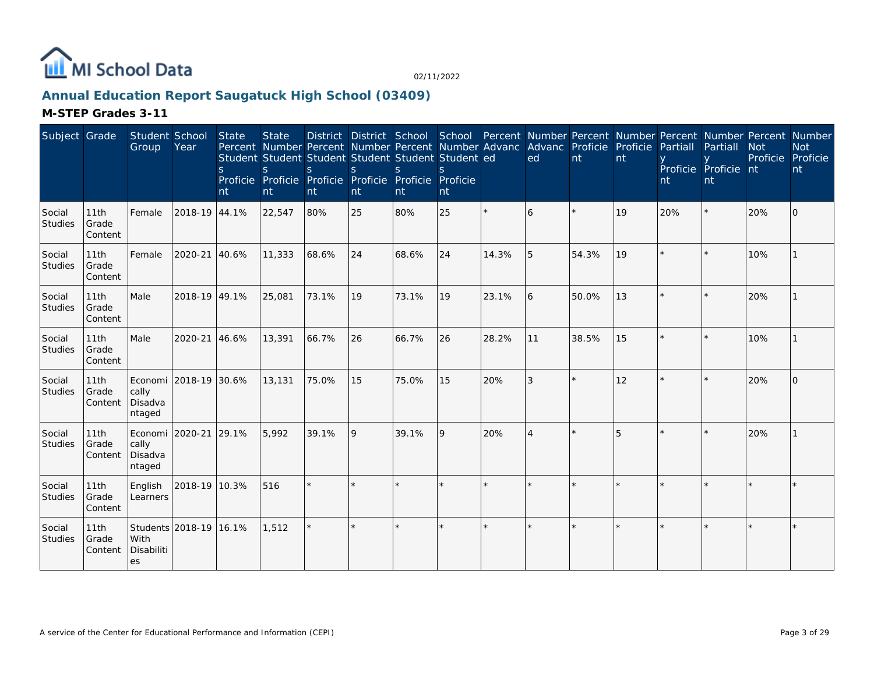

### **Annual Education Report Saugatuck High School (03409)**

| Subject Grade     |                          | Student School<br>Group               | Year                   | State<br>S.<br>nt | <b>State</b><br><sub>S</sub><br>nt | Percent Number Percent Number Percent Number Advanc Advanc Proficie Proficie<br>Student Student Student Student Student Student ed<br><sub>S</sub><br>Proficie Proficie Proficie Proficie Proficie Proficie<br>nt | <sub>S</sub><br>nt | <sub>S</sub><br>nt | nt      |         | District District School School Percent Number Percent Number Percent Number Percent Number<br>ed | nt      | nt | Partiall<br>nt | Partiall<br>Proficie Proficie nt<br>nt | <b>Not</b><br>Proficie Proficie | <b>Not</b><br>nt |
|-------------------|--------------------------|---------------------------------------|------------------------|-------------------|------------------------------------|-------------------------------------------------------------------------------------------------------------------------------------------------------------------------------------------------------------------|--------------------|--------------------|---------|---------|---------------------------------------------------------------------------------------------------|---------|----|----------------|----------------------------------------|---------------------------------|------------------|
| Social<br>Studies | 11th<br>Grade<br>Content | Female                                | 2018-19 44.1%          |                   | 22,547                             | 80%                                                                                                                                                                                                               | 25                 | 80%                | 25      | $\star$ | 6                                                                                                 |         | 19 | 20%            |                                        | 20%                             | $\overline{O}$   |
| Social<br>Studies | 11th<br>Grade<br>Content | Female                                | 2020-21                | 40.6%             | 11,333                             | 68.6%                                                                                                                                                                                                             | 24                 | 68.6%              | 24      | 14.3%   | 5                                                                                                 | 54.3%   | 19 |                |                                        | 10%                             |                  |
| Social<br>Studies | 11th<br>Grade<br>Content | Male                                  | 2018-19 49.1%          |                   | 25,081                             | 73.1%                                                                                                                                                                                                             | 19                 | 73.1%              | 19      | 23.1%   | 6                                                                                                 | 50.0%   | 13 |                |                                        | 20%                             |                  |
| Social<br>Studies | 11th<br>Grade<br>Content | Male                                  | 2020-21                | 46.6%             | 13,391                             | 66.7%                                                                                                                                                                                                             | 26                 | 66.7%              | 26      | 28.2%   | 11                                                                                                | 38.5%   | 15 |                |                                        | 10%                             |                  |
| Social<br>Studies | 11th<br>Grade<br>Content | cally<br>Disadva<br>ntaged            | Economi 2018-19 30.6%  |                   | 13,131                             | 75.0%                                                                                                                                                                                                             | 15                 | 75.0%              | 15      | 20%     | 3                                                                                                 | $\star$ | 12 |                |                                        | 20%                             | $\Omega$         |
| Social<br>Studies | 11th<br>Grade<br>Content | Economi<br>cally<br>Disadva<br>ntaged | 2020-21                | 29.1%             | 5,992                              | 39.1%                                                                                                                                                                                                             | 9                  | 39.1%              | 9       | 20%     | $\overline{4}$                                                                                    |         | 5  |                |                                        | 20%                             |                  |
| Social<br>Studies | 11th<br>Grade<br>Content | English<br>Learners                   | 2018-19 10.3%          |                   | 516                                | $\star$                                                                                                                                                                                                           |                    |                    |         |         |                                                                                                   |         |    |                |                                        |                                 |                  |
| Social<br>Studies | 11th<br>Grade<br>Content | With<br>Disabiliti<br>es              | Students 2018-19 16.1% |                   | 1,512                              |                                                                                                                                                                                                                   | $\star$            |                    | $\star$ |         | $\star$                                                                                           |         |    |                |                                        |                                 |                  |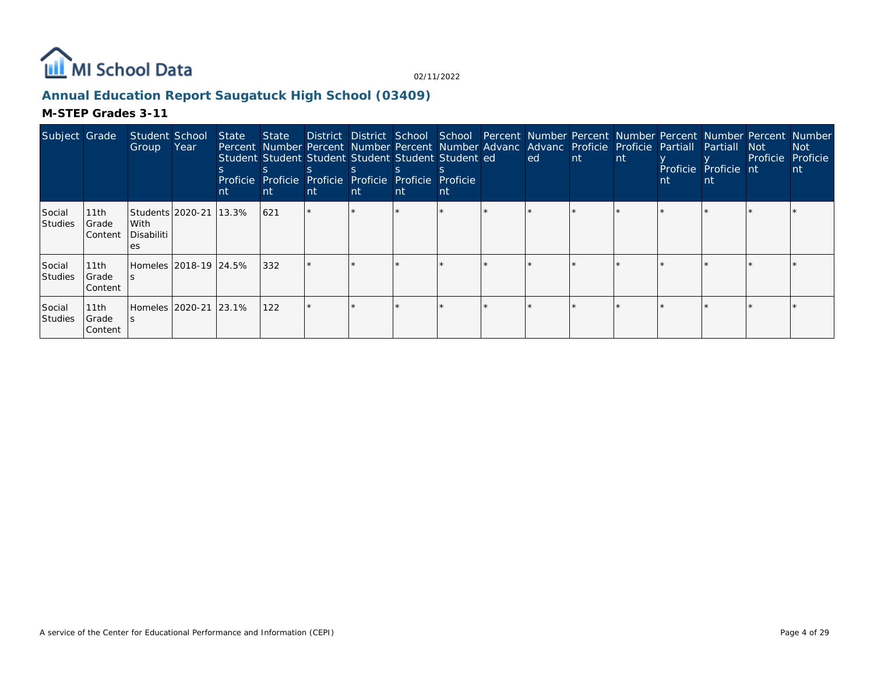

### **Annual Education Report Saugatuck High School (03409)**

| Subject Grade            |                           | Student School<br>Group   | Year                       | State<br>nt | State District District School School Percent Number Percent Number Percent Number Percent Number<br>Percent Number Percent Number Percent Number Advanc Advanc Proficie Proficie Partial Partial<br>Student Student Student Student Student Student ed<br>Proficie Proficie Proficie Proficie Proficie Proficie<br><b>nt</b> | nt | nt | nt | nt | ed | Int. | nt | nt | Proficie Proficie nt | Not Not<br>Proficie | Not<br>Proficie<br>nt |
|--------------------------|---------------------------|---------------------------|----------------------------|-------------|-------------------------------------------------------------------------------------------------------------------------------------------------------------------------------------------------------------------------------------------------------------------------------------------------------------------------------|----|----|----|----|----|------|----|----|----------------------|---------------------|-----------------------|
| Social<br>Studies        | 11th<br>Grade<br> Content | With<br>Disabiliti<br>es. | Students   2020-21   13.3% |             | 621                                                                                                                                                                                                                                                                                                                           |    |    |    |    |    |      |    |    |                      |                     |                       |
| Social<br><b>Studies</b> | 11th<br>Grade<br>Content  |                           | Homeles   2018-19   24.5%  |             | 332                                                                                                                                                                                                                                                                                                                           |    |    |    |    |    |      |    |    |                      |                     |                       |
| Social<br>Studies        | 11th<br>Grade<br>Content  |                           | Homeles   2020-21   23.1%  |             | 122                                                                                                                                                                                                                                                                                                                           |    |    |    |    |    |      |    |    |                      |                     |                       |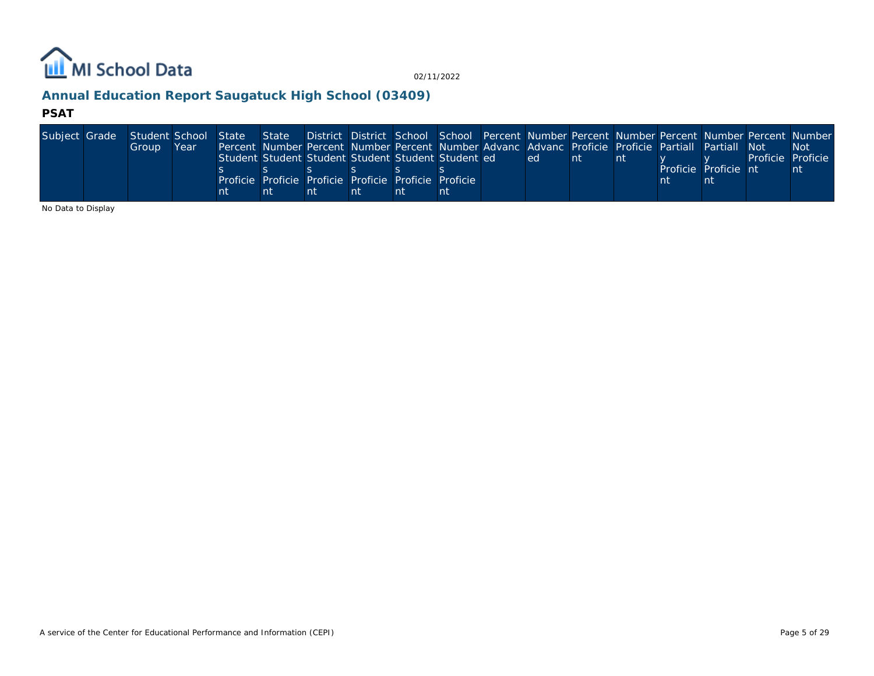

# **Annual Education Report Saugatuck High School (03409)**

#### **PSAT**

| Subject Grade | Student School State State District District School School Percent Number Percent Number Percent Number Percent Number |      |    |                                                                                                    |    |    |    |      |     |  |                      |                   |      |
|---------------|------------------------------------------------------------------------------------------------------------------------|------|----|----------------------------------------------------------------------------------------------------|----|----|----|------|-----|--|----------------------|-------------------|------|
|               | Group                                                                                                                  | Year |    | Percent Number Percent Number Percent Number Advanc Advanc Proficie Proficie Partiall Partiall Not |    |    |    |      |     |  |                      |                   | -Not |
|               |                                                                                                                        |      |    | Student Student Student Student Student Student ed                                                 |    |    |    | led. | -nt |  |                      | Proficie Proficie |      |
|               |                                                                                                                        |      |    |                                                                                                    |    |    |    |      |     |  | Proficie Proficie nt |                   | nt   |
|               |                                                                                                                        |      |    | Proficie Proficie Proficie Proficie Proficie Proficie                                              |    |    |    |      |     |  |                      |                   |      |
|               |                                                                                                                        |      | nt |                                                                                                    | nt | nt | nt |      |     |  |                      |                   |      |

No Data to Display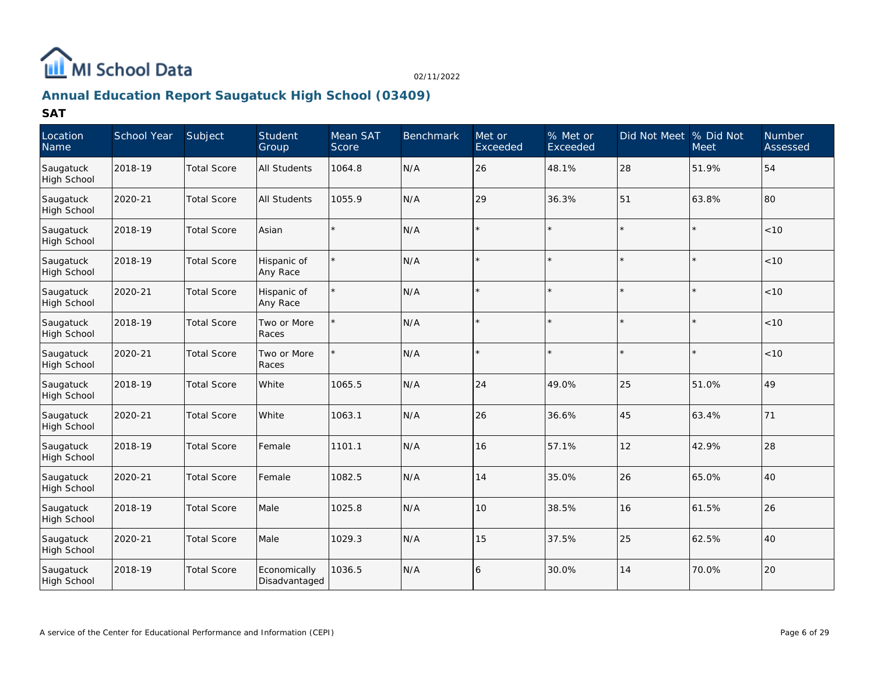

# **Annual Education Report Saugatuck High School (03409)**

| Location<br>Name                | School Year | Subject            | Student<br>Group              | Mean SAT<br>Score | <b>Benchmark</b> | Met or<br>Exceeded | % Met or<br>Exceeded | Did Not Meet | % Did Not<br>Meet | <b>Number</b><br>Assessed |
|---------------------------------|-------------|--------------------|-------------------------------|-------------------|------------------|--------------------|----------------------|--------------|-------------------|---------------------------|
| Saugatuck<br><b>High School</b> | 2018-19     | <b>Total Score</b> | <b>All Students</b>           | 1064.8            | N/A              | 26                 | 48.1%                | 28           | 51.9%             | 54                        |
| Saugatuck<br>High School        | 2020-21     | <b>Total Score</b> | <b>All Students</b>           | 1055.9            | N/A              | 29                 | 36.3%                | 51           | 63.8%             | 80                        |
| Saugatuck<br>High School        | 2018-19     | <b>Total Score</b> | Asian                         |                   | N/A              |                    |                      |              |                   | < 10                      |
| Saugatuck<br><b>High School</b> | 2018-19     | <b>Total Score</b> | Hispanic of<br>Any Race       | $\star$           | N/A              |                    |                      |              |                   | < 10                      |
| Saugatuck<br><b>High School</b> | 2020-21     | <b>Total Score</b> | Hispanic of<br>Any Race       | $\star$           | N/A              |                    |                      |              |                   | < 10                      |
| Saugatuck<br><b>High School</b> | 2018-19     | <b>Total Score</b> | Two or More<br>Races          |                   | N/A              | $\star$            |                      |              |                   | < 10                      |
| Saugatuck<br>High School        | 2020-21     | <b>Total Score</b> | Two or More<br>Races          |                   | N/A              |                    |                      |              |                   | < 10                      |
| Saugatuck<br>High School        | 2018-19     | <b>Total Score</b> | <b>White</b>                  | 1065.5            | N/A              | 24                 | 49.0%                | 25           | 51.0%             | 49                        |
| Saugatuck<br>High School        | 2020-21     | <b>Total Score</b> | White                         | 1063.1            | N/A              | 26                 | 36.6%                | 45           | 63.4%             | 71                        |
| Saugatuck<br>High School        | 2018-19     | <b>Total Score</b> | Female                        | 1101.1            | N/A              | 16                 | 57.1%                | 12           | 42.9%             | 28                        |
| Saugatuck<br>High School        | 2020-21     | <b>Total Score</b> | Female                        | 1082.5            | N/A              | 14                 | 35.0%                | 26           | 65.0%             | 40                        |
| Saugatuck<br><b>High School</b> | 2018-19     | <b>Total Score</b> | Male                          | 1025.8            | N/A              | 10                 | 38.5%                | 16           | 61.5%             | 26                        |
| Saugatuck<br><b>High School</b> | 2020-21     | <b>Total Score</b> | Male                          | 1029.3            | N/A              | 15                 | 37.5%                | 25           | 62.5%             | 40                        |
| Saugatuck<br>High School        | 2018-19     | <b>Total Score</b> | Economically<br>Disadvantaged | 1036.5            | N/A              | 6                  | 30.0%                | 14           | 70.0%             | 20                        |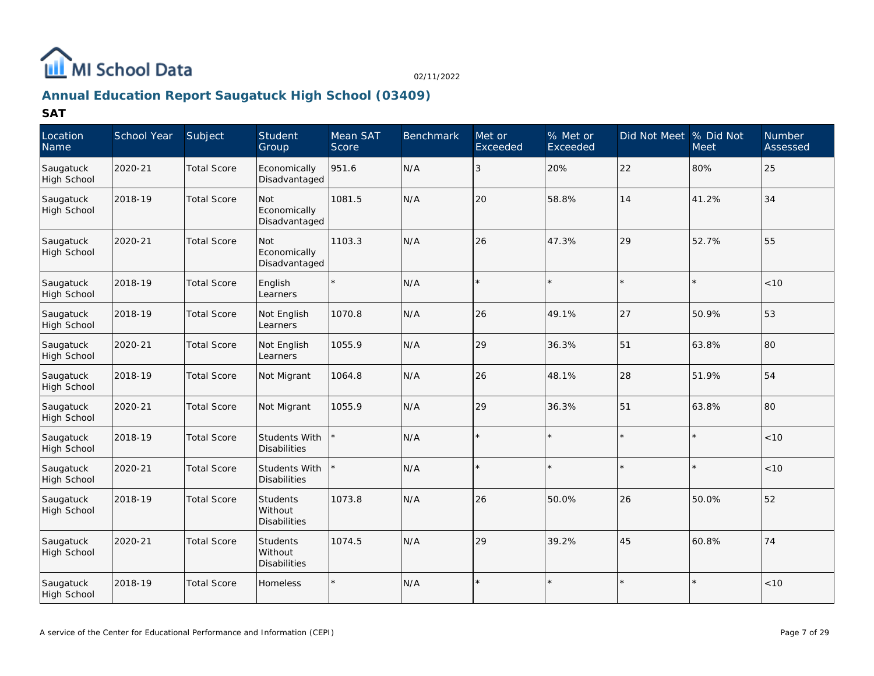

# **Annual Education Report Saugatuck High School (03409)**

| Location<br>Name                | School Year | Subject            | Student<br>Group                            | Mean SAT<br>Score | <b>Benchmark</b> | Met or<br>Exceeded | % Met or<br>Exceeded | Did Not Meet % Did Not | Meet  | Number<br>Assessed |
|---------------------------------|-------------|--------------------|---------------------------------------------|-------------------|------------------|--------------------|----------------------|------------------------|-------|--------------------|
| Saugatuck<br>High School        | 2020-21     | <b>Total Score</b> | Economically<br>Disadvantaged               | 951.6             | N/A              | 3                  | 20%                  | 22                     | 80%   | 25                 |
| Saugatuck<br><b>High School</b> | 2018-19     | <b>Total Score</b> | Not<br>Economically<br>Disadvantaged        | 1081.5            | N/A              | 20                 | 58.8%                | 14                     | 41.2% | 34                 |
| Saugatuck<br><b>High School</b> | 2020-21     | <b>Total Score</b> | Not<br>Economically<br>Disadvantaged        | 1103.3            | N/A              | 26                 | 47.3%                | 29                     | 52.7% | 55                 |
| Saugatuck<br>High School        | 2018-19     | <b>Total Score</b> | English<br>Learners                         | $\star$           | N/A              |                    |                      |                        |       | < 10               |
| Saugatuck<br><b>High School</b> | 2018-19     | <b>Total Score</b> | Not English<br>Learners                     | 1070.8            | N/A              | 26                 | 49.1%                | 27                     | 50.9% | 53                 |
| Saugatuck<br>High School        | 2020-21     | <b>Total Score</b> | Not English<br>Learners                     | 1055.9            | N/A              | 29                 | 36.3%                | 51                     | 63.8% | 80                 |
| Saugatuck<br><b>High School</b> | 2018-19     | <b>Total Score</b> | Not Migrant                                 | 1064.8            | N/A              | 26                 | 48.1%                | 28                     | 51.9% | 54                 |
| Saugatuck<br>High School        | 2020-21     | <b>Total Score</b> | Not Migrant                                 | 1055.9            | N/A              | 29                 | 36.3%                | 51                     | 63.8% | 80                 |
| Saugatuck<br><b>High School</b> | 2018-19     | <b>Total Score</b> | Students With<br><b>Disabilities</b>        |                   | N/A              |                    |                      |                        |       | $<10$              |
| Saugatuck<br><b>High School</b> | 2020-21     | <b>Total Score</b> | <b>Students With</b><br><b>Disabilities</b> |                   | N/A              |                    |                      |                        |       | < 10               |
| Saugatuck<br>High School        | 2018-19     | <b>Total Score</b> | Students<br>Without<br>Disabilities         | 1073.8            | N/A              | 26                 | 50.0%                | 26                     | 50.0% | 52                 |
| Saugatuck<br>High School        | 2020-21     | <b>Total Score</b> | <b>Students</b><br>Without<br>Disabilities  | 1074.5            | N/A              | 29                 | 39.2%                | 45                     | 60.8% | 74                 |
| Saugatuck<br>High School        | 2018-19     | <b>Total Score</b> | Homeless                                    |                   | N/A              |                    |                      |                        |       | < 10               |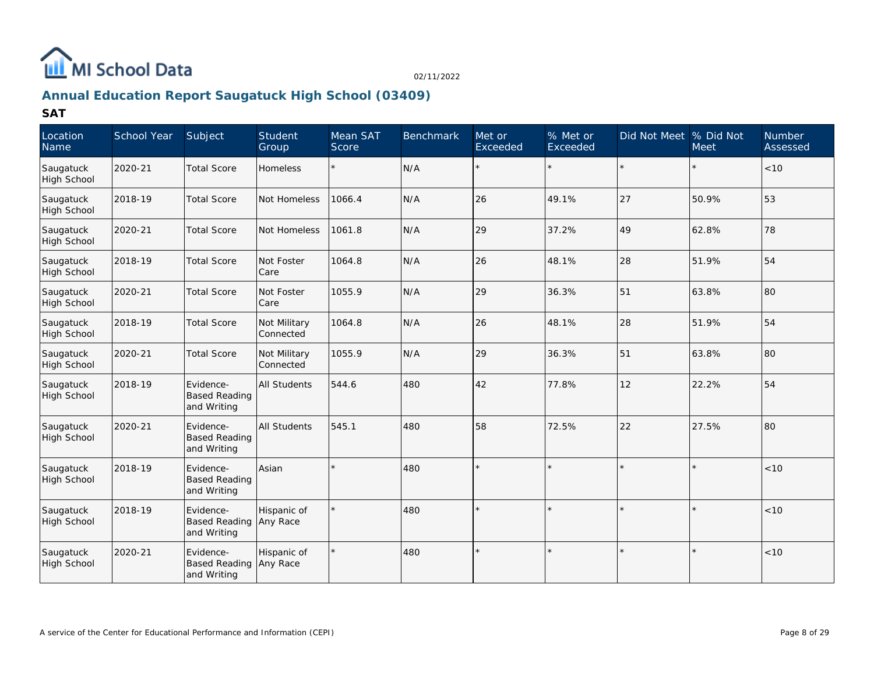

# **Annual Education Report Saugatuck High School (03409)**

| Location<br>Name                | School Year | Subject                                          | Student<br>Group          | Mean SAT<br>Score | <b>Benchmark</b> | Met or<br>Exceeded | % Met or<br>Exceeded | Did Not Meet % Did Not | <b>Meet</b> | <b>Number</b><br>Assessed |
|---------------------------------|-------------|--------------------------------------------------|---------------------------|-------------------|------------------|--------------------|----------------------|------------------------|-------------|---------------------------|
| Saugatuck<br>High School        | 2020-21     | <b>Total Score</b>                               | <b>Homeless</b>           | $\star$           | N/A              |                    |                      |                        |             | <10                       |
| Saugatuck<br>High School        | 2018-19     | <b>Total Score</b>                               | Not Homeless              | 1066.4            | N/A              | 26                 | 49.1%                | 27                     | 50.9%       | 53                        |
| Saugatuck<br><b>High School</b> | 2020-21     | <b>Total Score</b>                               | Not Homeless              | 1061.8            | N/A              | 29                 | 37.2%                | 49                     | 62.8%       | 78                        |
| Saugatuck<br><b>High School</b> | 2018-19     | <b>Total Score</b>                               | Not Foster<br>Care        | 1064.8            | N/A              | 26                 | 48.1%                | 28                     | 51.9%       | 54                        |
| Saugatuck<br>High School        | 2020-21     | <b>Total Score</b>                               | Not Foster<br>Care        | 1055.9            | N/A              | 29                 | 36.3%                | 51                     | 63.8%       | 80                        |
| Saugatuck<br><b>High School</b> | 2018-19     | <b>Total Score</b>                               | Not Military<br>Connected | 1064.8            | N/A              | 26                 | 48.1%                | 28                     | 51.9%       | 54                        |
| Saugatuck<br>High School        | 2020-21     | <b>Total Score</b>                               | Not Military<br>Connected | 1055.9            | N/A              | 29                 | 36.3%                | 51                     | 63.8%       | 80                        |
| Saugatuck<br>High School        | 2018-19     | Evidence-<br><b>Based Reading</b><br>and Writing | <b>All Students</b>       | 544.6             | 480              | 42                 | 77.8%                | 12                     | 22.2%       | 54                        |
| Saugatuck<br><b>High School</b> | 2020-21     | Evidence-<br><b>Based Reading</b><br>and Writing | All Students              | 545.1             | 480              | 58                 | 72.5%                | 22                     | 27.5%       | 80                        |
| Saugatuck<br>High School        | 2018-19     | Evidence-<br><b>Based Reading</b><br>and Writing | Asian                     |                   | 480              | $\star$            |                      |                        | $\star$     | < 10                      |
| Saugatuck<br>High School        | 2018-19     | Evidence-<br><b>Based Reading</b><br>and Writing | Hispanic of<br>Any Race   |                   | 480              |                    |                      |                        |             | < 10                      |
| Saugatuck<br>High School        | 2020-21     | Evidence-<br><b>Based Reading</b><br>and Writing | Hispanic of<br>Any Race   |                   | 480              | $\star$            |                      |                        | $\star$     | < 10                      |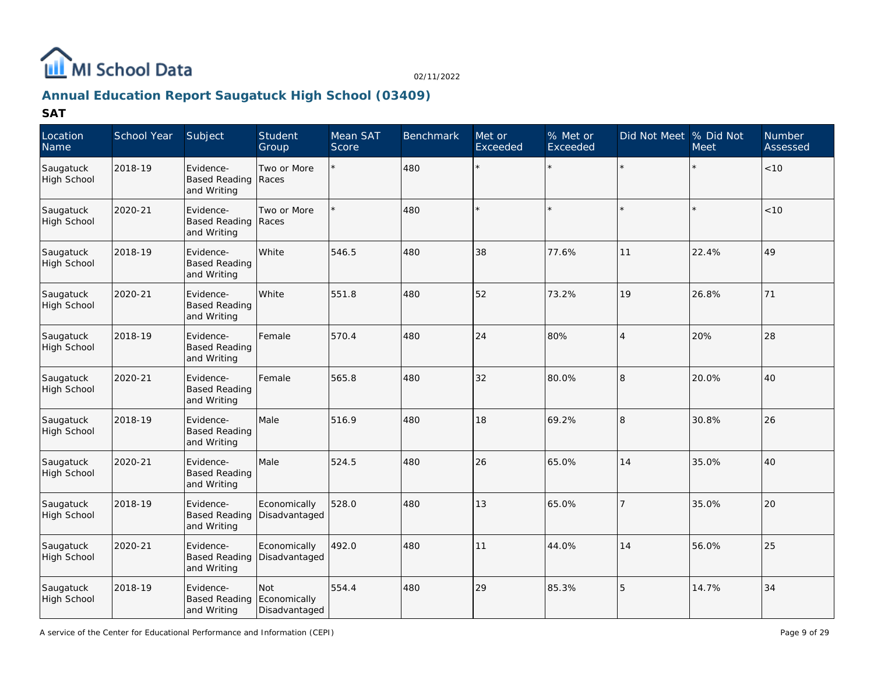

# **Annual Education Report Saugatuck High School (03409)**

| Location<br>Name                | School Year | Subject                                          | Student<br>Group                     | Mean SAT<br>Score | <b>Benchmark</b> | Met or<br>Exceeded | % Met or<br>Exceeded | Did Not Meet  % Did Not | <b>Meet</b> | Number<br>Assessed |
|---------------------------------|-------------|--------------------------------------------------|--------------------------------------|-------------------|------------------|--------------------|----------------------|-------------------------|-------------|--------------------|
| Saugatuck<br><b>High School</b> | 2018-19     | Evidence-<br><b>Based Reading</b><br>and Writing | Two or More<br>Races                 |                   | 480              | ÷.                 | $\star$              |                         |             | < 10               |
| Saugatuck<br>High School        | 2020-21     | Evidence-<br>Based Reading Races<br>and Writing  | Two or More                          |                   | 480              |                    |                      |                         |             | < 10               |
| Saugatuck<br>High School        | 2018-19     | Evidence-<br><b>Based Reading</b><br>and Writing | White                                | 546.5             | 480              | 38                 | 77.6%                | 11                      | 22.4%       | 49                 |
| Saugatuck<br>High School        | 2020-21     | Evidence-<br><b>Based Reading</b><br>and Writing | White                                | 551.8             | 480              | 52                 | 73.2%                | 19                      | 26.8%       | 71                 |
| Saugatuck<br>High School        | 2018-19     | Evidence-<br><b>Based Reading</b><br>and Writing | Female                               | 570.4             | 480              | 24                 | 80%                  | $\overline{4}$          | 20%         | 28                 |
| Saugatuck<br><b>High School</b> | 2020-21     | Evidence-<br><b>Based Reading</b><br>and Writing | Female                               | 565.8             | 480              | 32                 | 80.0%                | 18                      | 20.0%       | 40                 |
| Saugatuck<br>High School        | 2018-19     | Evidence-<br><b>Based Reading</b><br>and Writing | Male                                 | 516.9             | 480              | 18                 | 69.2%                | 8                       | 30.8%       | 26                 |
| Saugatuck<br>High School        | 2020-21     | Evidence-<br><b>Based Reading</b><br>and Writing | Male                                 | 524.5             | 480              | 26                 | 65.0%                | 14                      | 35.0%       | 40                 |
| Saugatuck<br>High School        | 2018-19     | Evidence-<br><b>Based Reading</b><br>and Writing | Economically<br>Disadvantaged        | 528.0             | 480              | 13                 | 65.0%                | <sup>7</sup>            | 35.0%       | 20                 |
| Saugatuck<br>High School        | 2020-21     | Evidence-<br><b>Based Reading</b><br>and Writing | Economically<br>Disadvantaged        | 492.0             | 480              | 11                 | 44.0%                | 14                      | 56.0%       | 25                 |
| Saugatuck<br><b>High School</b> | 2018-19     | Evidence-<br><b>Based Reading</b><br>and Writing | Not<br>Economically<br>Disadvantaged | 554.4             | 480              | 29                 | 85.3%                | 5                       | 14.7%       | 34                 |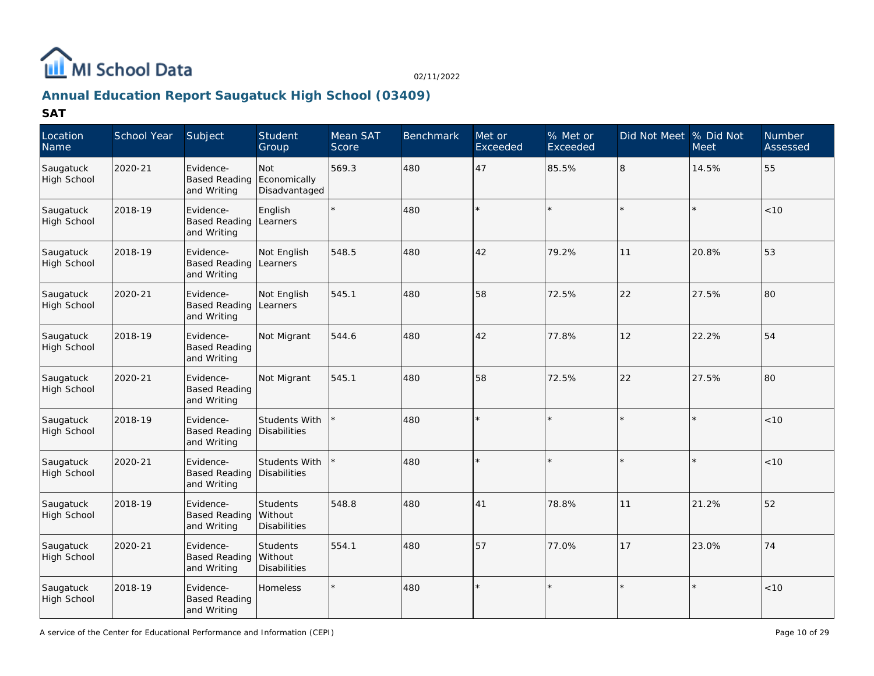

# **Annual Education Report Saugatuck High School (03409)**

| Location<br>Name                | School Year | Subject                                            | Student<br>Group                     | Mean SAT<br>Score | Benchmark | Met or<br>Exceeded | % Met or<br>Exceeded | Did Not Meet  % Did Not | <b>Meet</b> | Number<br>Assessed |
|---------------------------------|-------------|----------------------------------------------------|--------------------------------------|-------------------|-----------|--------------------|----------------------|-------------------------|-------------|--------------------|
| Saugatuck<br><b>High School</b> | 2020-21     | Evidence-<br><b>Based Reading</b><br>and Writing   | Not<br>Economically<br>Disadvantaged | 569.3             | 480       | 47                 | 85.5%                | l8                      | 14.5%       | 55                 |
| Saugatuck<br><b>High School</b> | 2018-19     | Evidence-<br><b>Based Reading</b><br>and Writing   | English<br>Learners                  | $\star$           | 480       | ÷                  |                      |                         |             | < 10               |
| Saugatuck<br>High School        | 2018-19     | Evidence-<br><b>Based Reading</b><br>and Writing   | Not English<br>Learners              | 548.5             | 480       | 42                 | 79.2%                | 11                      | 20.8%       | 53                 |
| Saugatuck<br>High School        | 2020-21     | Evidence-<br>Based Reading Learners<br>and Writing | Not English                          | 545.1             | 480       | 58                 | 72.5%                | 22                      | 27.5%       | 80                 |
| Saugatuck<br>High School        | 2018-19     | Evidence-<br><b>Based Reading</b><br>and Writing   | Not Migrant                          | 544.6             | 480       | 42                 | 77.8%                | 12                      | 22.2%       | 54                 |
| Saugatuck<br>High School        | 2020-21     | Evidence-<br><b>Based Reading</b><br>and Writing   | Not Migrant                          | 545.1             | 480       | 58                 | 72.5%                | 22                      | 27.5%       | 80                 |
| Saugatuck<br>High School        | 2018-19     | Evidence-<br><b>Based Reading</b><br>and Writing   | Students With<br>Disabilities        |                   | 480       |                    |                      |                         |             | < 10               |
| Saugatuck<br>High School        | 2020-21     | Evidence-<br><b>Based Reading</b><br>and Writing   | Students With<br>Disabilities        |                   | 480       | $\star$            |                      |                         |             | $<10$              |
| Saugatuck<br>High School        | 2018-19     | Evidence-<br><b>Based Reading</b><br>and Writing   | Students<br>Without<br>Disabilities  | 548.8             | 480       | 41                 | 78.8%                | 11                      | 21.2%       | 52                 |
| Saugatuck<br>High School        | 2020-21     | Evidence-<br><b>Based Reading</b><br>and Writing   | Students<br>Without<br>Disabilities  | 554.1             | 480       | 57                 | 77.0%                | 17                      | 23.0%       | 74                 |
| Saugatuck<br>High School        | 2018-19     | Evidence-<br><b>Based Reading</b><br>and Writing   | Homeless                             |                   | 480       |                    |                      |                         |             | < 10               |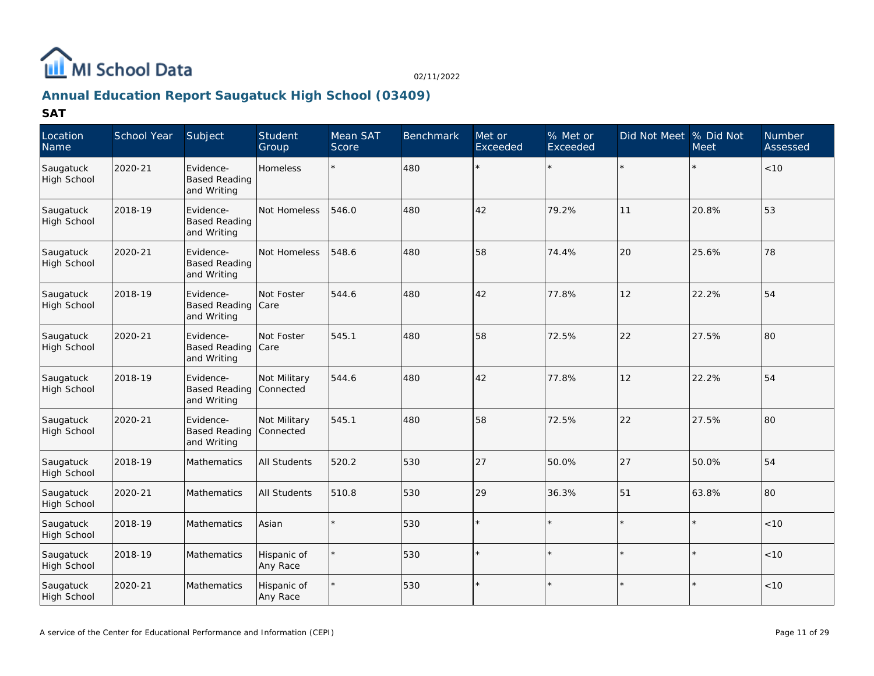

# **Annual Education Report Saugatuck High School (03409)**

| Location<br>Name                | School Year | Subject                                          | Student<br>Group          | Mean SAT<br>Score | <b>Benchmark</b> | Met or<br>Exceeded | % Met or<br>Exceeded | Did Not Meet % Did Not | <b>Meet</b> | <b>Number</b><br>Assessed |
|---------------------------------|-------------|--------------------------------------------------|---------------------------|-------------------|------------------|--------------------|----------------------|------------------------|-------------|---------------------------|
| Saugatuck<br>High School        | 2020-21     | Evidence-<br><b>Based Reading</b><br>and Writing | <b>Homeless</b>           |                   | 480              | $\star$            |                      |                        |             | $<10$                     |
| Saugatuck<br><b>High School</b> | 2018-19     | Evidence-<br><b>Based Reading</b><br>and Writing | Not Homeless              | 546.0             | 480              | 42                 | 79.2%                | 11                     | 20.8%       | 53                        |
| Saugatuck<br>High School        | 2020-21     | Evidence-<br><b>Based Reading</b><br>and Writing | Not Homeless              | 548.6             | 480              | 58                 | 74.4%                | 20                     | 25.6%       | 78                        |
| Saugatuck<br>High School        | 2018-19     | Evidence-<br><b>Based Reading</b><br>and Writing | Not Foster<br><b>Care</b> | 544.6             | 480              | 42                 | 77.8%                | 12                     | 22.2%       | 54                        |
| Saugatuck<br>High School        | 2020-21     | Evidence-<br><b>Based Reading</b><br>and Writing | Not Foster<br>Care        | 545.1             | 480              | 58                 | 72.5%                | 22                     | 27.5%       | 80                        |
| Saugatuck<br><b>High School</b> | 2018-19     | Evidence-<br><b>Based Reading</b><br>and Writing | Not Military<br>Connected | 544.6             | 480              | 42                 | 77.8%                | 12                     | 22.2%       | 54                        |
| Saugatuck<br>High School        | 2020-21     | Evidence-<br><b>Based Reading</b><br>and Writing | Not Military<br>Connected | 545.1             | 480              | 58                 | 72.5%                | 22                     | 27.5%       | 80                        |
| Saugatuck<br>High School        | 2018-19     | Mathematics                                      | <b>All Students</b>       | 520.2             | 530              | 27                 | 50.0%                | 27                     | 50.0%       | 54                        |
| Saugatuck<br><b>High School</b> | 2020-21     | Mathematics                                      | <b>All Students</b>       | 510.8             | 530              | 29                 | 36.3%                | 51                     | 63.8%       | 80                        |
| Saugatuck<br><b>High School</b> | 2018-19     | Mathematics                                      | Asian                     |                   | 530              | $\star$            |                      |                        |             | $<10$                     |
| Saugatuck<br>High School        | 2018-19     | Mathematics                                      | Hispanic of<br>Any Race   |                   | 530              |                    |                      |                        |             | < 10                      |
| Saugatuck<br>High School        | 2020-21     | Mathematics                                      | Hispanic of<br>Any Race   |                   | 530              |                    |                      |                        |             | < 10                      |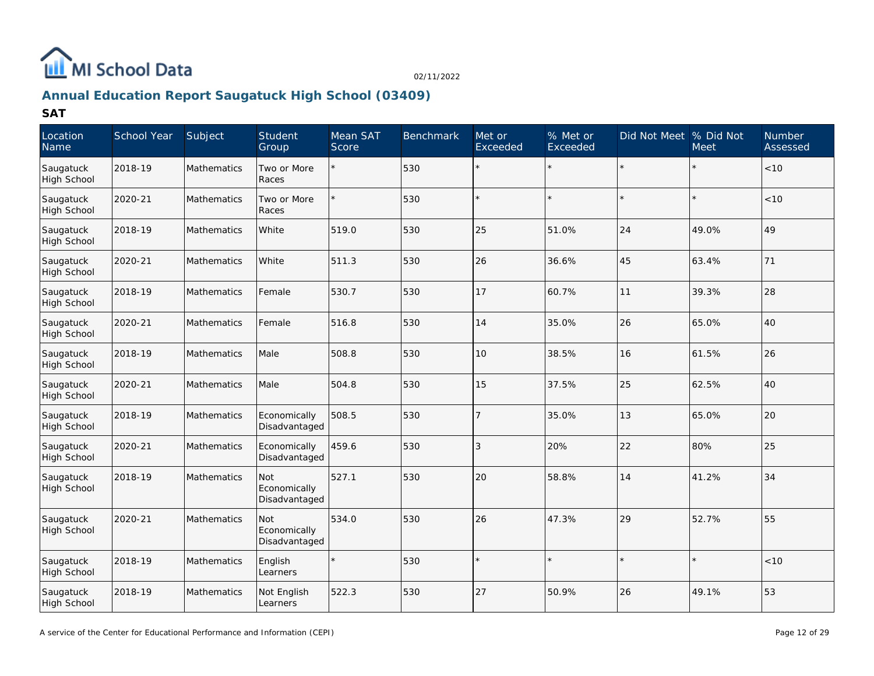

# **Annual Education Report Saugatuck High School (03409)**

| Location<br>Name                | School Year | Subject            | Student<br>Group                     | Mean SAT<br>Score | <b>Benchmark</b> | Met or<br>Exceeded | % Met or<br>Exceeded | Did Not Meet | % Did Not<br><b>Meet</b> | Number<br>Assessed |
|---------------------------------|-------------|--------------------|--------------------------------------|-------------------|------------------|--------------------|----------------------|--------------|--------------------------|--------------------|
| Saugatuck<br><b>High School</b> | 2018-19     | Mathematics        | Two or More<br>Races                 |                   | 530              | $\star$            |                      |              |                          | $<10$              |
| Saugatuck<br><b>High School</b> | 2020-21     | Mathematics        | Two or More<br>Races                 |                   | 530              |                    |                      |              |                          | < 10               |
| Saugatuck<br>High School        | 2018-19     | Mathematics        | White                                | 519.0             | 530              | 25                 | 51.0%                | 24           | 49.0%                    | 49                 |
| Saugatuck<br>High School        | 2020-21     | Mathematics        | White                                | 511.3             | 530              | 26                 | 36.6%                | 45           | 63.4%                    | 71                 |
| Saugatuck<br>High School        | 2018-19     | Mathematics        | Female                               | 530.7             | 530              | 17                 | 60.7%                | 11           | 39.3%                    | 28                 |
| Saugatuck<br><b>High School</b> | 2020-21     | Mathematics        | Female                               | 516.8             | 530              | 14                 | 35.0%                | 26           | 65.0%                    | 40                 |
| Saugatuck<br><b>High School</b> | 2018-19     | Mathematics        | Male                                 | 508.8             | 530              | 10                 | 38.5%                | 16           | 61.5%                    | 26                 |
| Saugatuck<br>High School        | 2020-21     | Mathematics        | Male                                 | 504.8             | 530              | 15                 | 37.5%                | 25           | 62.5%                    | 40                 |
| Saugatuck<br>High School        | 2018-19     | <b>Mathematics</b> | Economically<br>Disadvantaged        | 508.5             | 530              | 7                  | 35.0%                | 13           | 65.0%                    | 20                 |
| Saugatuck<br><b>High School</b> | 2020-21     | <b>Mathematics</b> | Economically<br>Disadvantaged        | 459.6             | 530              | 3                  | 20%                  | 22           | 80%                      | 25                 |
| Saugatuck<br>High School        | 2018-19     | Mathematics        | Not<br>Economically<br>Disadvantaged | 527.1             | 530              | 20                 | 58.8%                | 14           | 41.2%                    | 34                 |
| Saugatuck<br>High School        | 2020-21     | Mathematics        | Not<br>Economically<br>Disadvantaged | 534.0             | 530              | 26                 | 47.3%                | 29           | 52.7%                    | 55                 |
| Saugatuck<br>High School        | 2018-19     | Mathematics        | English<br>Learners                  |                   | 530              | $\star$            |                      |              |                          | < 10               |
| Saugatuck<br>High School        | 2018-19     | Mathematics        | Not English<br>Learners              | 522.3             | 530              | 27                 | 50.9%                | 26           | 49.1%                    | 53                 |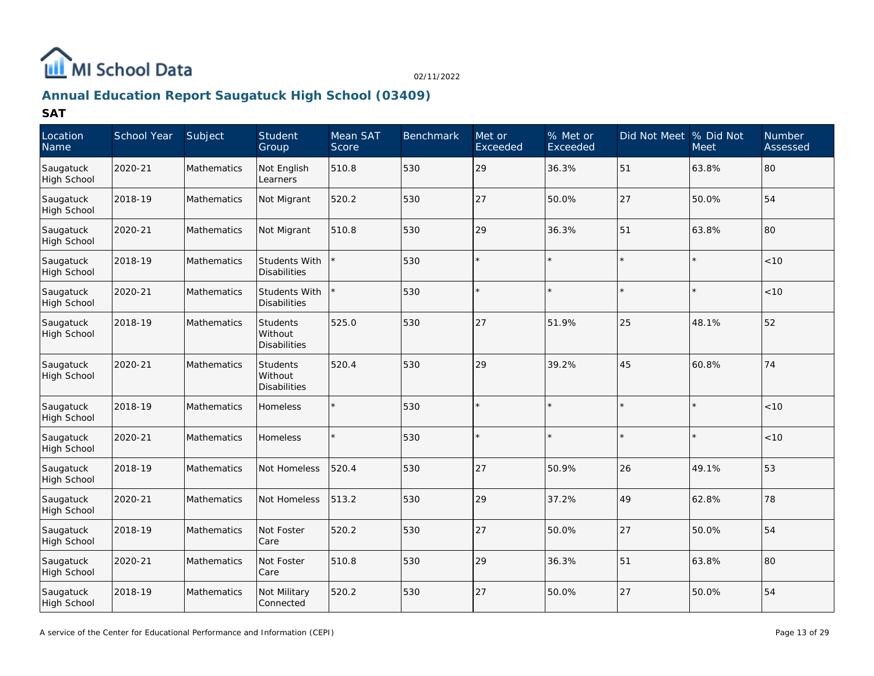

# **Annual Education Report Saugatuck High School (03409)**

| Location<br>Name                | School Year | Subject            | Student<br>Group                           | Mean SAT<br>Score | <b>Benchmark</b> | Met or<br>Exceeded | % Met or<br>Exceeded | Did Not Meet | % Did Not<br>Meet | <b>Number</b><br>Assessed |
|---------------------------------|-------------|--------------------|--------------------------------------------|-------------------|------------------|--------------------|----------------------|--------------|-------------------|---------------------------|
| Saugatuck<br>High School        | 2020-21     | <b>Mathematics</b> | Not English<br>Learners                    | 510.8             | 530              | 29                 | 36.3%                | 51           | 63.8%             | 80                        |
| Saugatuck<br><b>High School</b> | 2018-19     | Mathematics        | Not Migrant                                | 520.2             | 530              | 27                 | 50.0%                | 27           | 50.0%             | 54                        |
| Saugatuck<br>High School        | 2020-21     | Mathematics        | Not Migrant                                | 510.8             | 530              | 29                 | 36.3%                | 51           | 63.8%             | 80                        |
| Saugatuck<br>High School        | 2018-19     | Mathematics        | Students With<br>Disabilities              |                   | 530              |                    |                      |              |                   | < 10                      |
| Saugatuck<br>High School        | 2020-21     | <b>Mathematics</b> | <b>Students With</b><br>Disabilities       |                   | 530              |                    |                      |              |                   | < 10                      |
| Saugatuck<br>High School        | 2018-19     | Mathematics        | <b>Students</b><br>Without<br>Disabilities | 525.0             | 530              | 27                 | 51.9%                | 25           | 48.1%             | 52                        |
| Saugatuck<br>High School        | 2020-21     | Mathematics        | Students<br>Without<br><b>Disabilities</b> | 520.4             | 530              | 29                 | 39.2%                | 45           | 60.8%             | 74                        |
| Saugatuck<br>High School        | 2018-19     | Mathematics        | Homeless                                   |                   | 530              |                    |                      |              |                   | < 10                      |
| Saugatuck<br>High School        | 2020-21     | Mathematics        | Homeless                                   |                   | 530              |                    |                      |              |                   | < 10                      |
| Saugatuck<br>High School        | 2018-19     | Mathematics        | Not Homeless                               | 520.4             | 530              | 27                 | 50.9%                | 26           | 49.1%             | 53                        |
| Saugatuck<br>High School        | 2020-21     | Mathematics        | Not Homeless                               | 513.2             | 530              | 29                 | 37.2%                | 49           | 62.8%             | 78                        |
| Saugatuck<br>High School        | 2018-19     | Mathematics        | Not Foster<br>Care                         | 520.2             | 530              | 27                 | 50.0%                | 27           | 50.0%             | 54                        |
| Saugatuck<br><b>High School</b> | 2020-21     | Mathematics        | Not Foster<br>Care                         | 510.8             | 530              | 29                 | 36.3%                | 51           | 63.8%             | 80                        |
| Saugatuck<br>High School        | 2018-19     | Mathematics        | Not Military<br>Connected                  | 520.2             | 530              | 27                 | 50.0%                | 27           | 50.0%             | 54                        |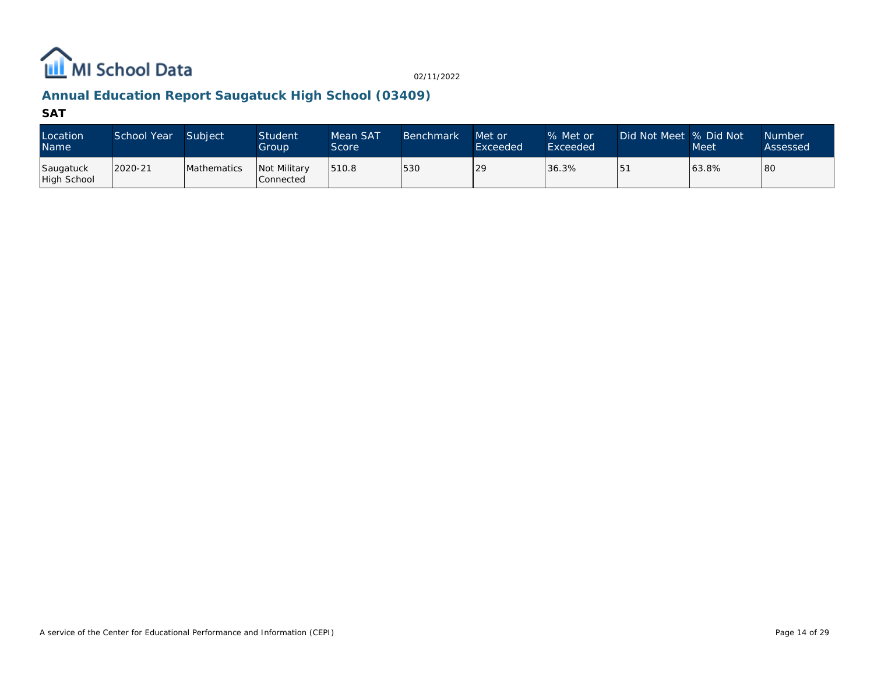

# **Annual Education Report Saugatuck High School (03409)**

| Location<br><b>Name</b>  | School Year | Subject            | <b>Student</b><br>Group            | Mean SAT<br>Score | <b>Benchmark</b> | Met or<br>Exceeded | % Met or<br>Exceeded | Did Not Meet  % Did Not | <b>Meet</b> | <b>Number</b><br>Assessed |
|--------------------------|-------------|--------------------|------------------------------------|-------------------|------------------|--------------------|----------------------|-------------------------|-------------|---------------------------|
| Saugatuck<br>High School | 2020-21     | <b>Mathematics</b> | <b>Not Military</b><br>l Connected | 1510.8            | 530              | 29                 | 36.3%                | I 5                     | 63.8%       | 80                        |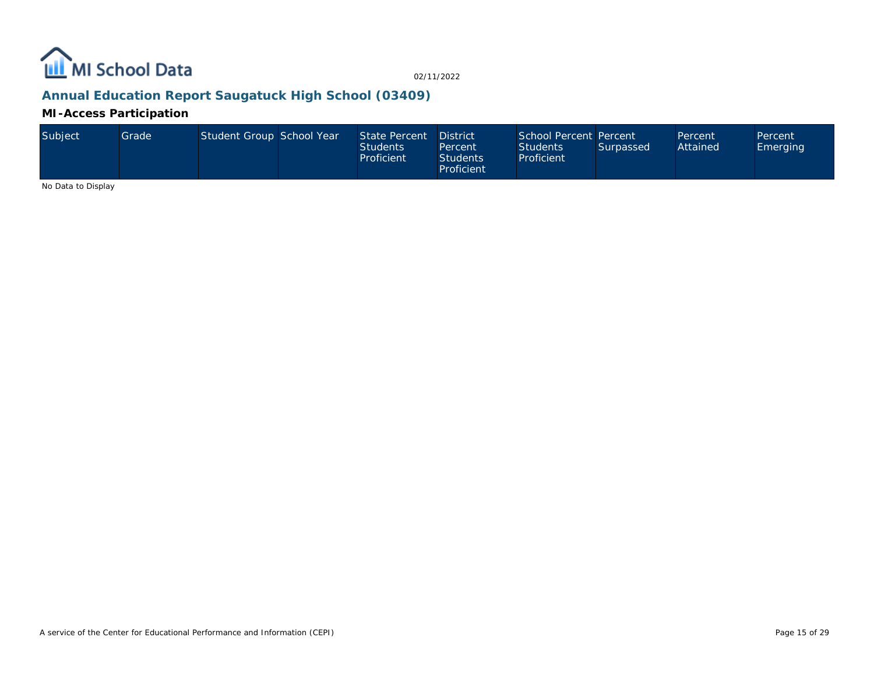

### **Annual Education Report Saugatuck High School (03409)**

### **MI-Access Participation**

| Subject | Grade | Student Group School Year |  | State Percent District<br><b>Students</b><br>Proficient | Percent<br><b>Students</b><br>Proficient | School Percent Percent<br><b>Students</b><br>Proficient | Surpassed | Percent<br>Attained | Percent<br>Emerging |
|---------|-------|---------------------------|--|---------------------------------------------------------|------------------------------------------|---------------------------------------------------------|-----------|---------------------|---------------------|
|---------|-------|---------------------------|--|---------------------------------------------------------|------------------------------------------|---------------------------------------------------------|-----------|---------------------|---------------------|

No Data to Display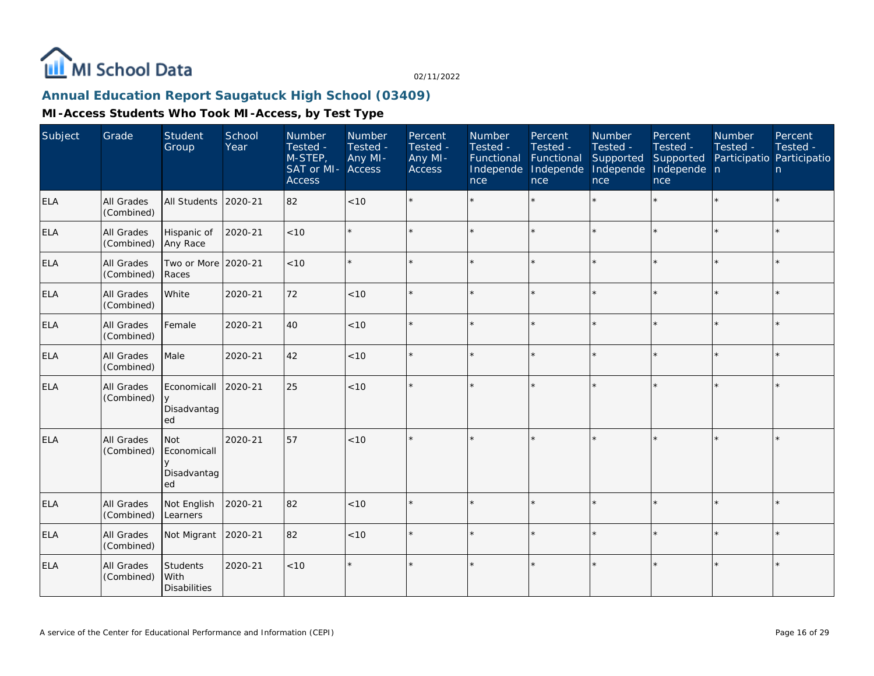

### **Annual Education Report Saugatuck High School (03409)**

| Subject    | Grade                    | Student<br>Group                               | School<br>Year | Number<br>Tested -<br>M-STEP,<br>SAT or MI- Access<br><b>Access</b> | Number<br>Tested -<br>Any MI- | Percent<br>Tested -<br>Any MI-<br>Access | Number<br>Tested -<br>Functional<br>Independe<br>nce | Percent<br>Tested -<br>Functional<br>Independe<br>nce | Number<br>Tested -<br>Supported<br>Independe<br>nce | Percent<br>Tested -<br>Supported<br>Independe n<br>nce | Number<br>Tested -<br>Participatio Participatio | Percent<br>Tested -<br>n. |
|------------|--------------------------|------------------------------------------------|----------------|---------------------------------------------------------------------|-------------------------------|------------------------------------------|------------------------------------------------------|-------------------------------------------------------|-----------------------------------------------------|--------------------------------------------------------|-------------------------------------------------|---------------------------|
| <b>ELA</b> | All Grades<br>(Combined) | All Students                                   | 2020-21        | 82                                                                  | < 10                          |                                          |                                                      | $\star$                                               | ÷                                                   |                                                        |                                                 | $\star$                   |
| <b>ELA</b> | All Grades<br>(Combined) | Hispanic of<br>Any Race                        | 2020-21        | <10                                                                 |                               |                                          |                                                      | $\star$                                               | $\star$                                             | ×.                                                     |                                                 | $\star$                   |
| <b>ELA</b> | All Grades<br>(Combined) | Two or More 2020-21<br>Races                   |                | <10                                                                 | $\star$                       | $\star$                                  | $\star$                                              | $\star$                                               | $\star$                                             | ×.                                                     |                                                 | $\star$                   |
| <b>ELA</b> | All Grades<br>(Combined) | White                                          | 2020-21        | 72                                                                  | < 10                          | $\star$                                  |                                                      | $\star$                                               |                                                     |                                                        |                                                 | $\star$                   |
| <b>ELA</b> | All Grades<br>(Combined) | Female                                         | 2020-21        | 40                                                                  | < 10                          | $\star$                                  |                                                      | $\star$                                               |                                                     |                                                        |                                                 | $\star$                   |
| <b>ELA</b> | All Grades<br>(Combined) | Male                                           | 2020-21        | 42                                                                  | $<10$                         | $\star$                                  |                                                      | $\star$                                               |                                                     |                                                        |                                                 | $\star$                   |
| <b>ELA</b> | All Grades<br>(Combined) | Economicall<br>y<br>Disadvantag<br>ed          | 2020-21        | 25                                                                  | < 10                          |                                          |                                                      | $\star$                                               |                                                     |                                                        |                                                 | $\star$                   |
| ELA        | All Grades<br>(Combined) | <b>Not</b><br>Economicall<br>Disadvantag<br>ed | 2020-21        | 57                                                                  | <10                           | $\star$                                  |                                                      | $\star$                                               |                                                     |                                                        |                                                 | $\star$                   |
| <b>ELA</b> | All Grades<br>(Combined) | Not English<br>Learners                        | 2020-21        | 82                                                                  | < 10                          | $\star$                                  |                                                      | $\star$                                               |                                                     |                                                        |                                                 | $\star$                   |
| <b>ELA</b> | All Grades<br>(Combined) | Not Migrant                                    | 2020-21        | 82                                                                  | < 10                          |                                          |                                                      | $\star$                                               |                                                     |                                                        |                                                 | $\star$                   |
| <b>ELA</b> | All Grades<br>(Combined) | <b>Students</b><br>With<br><b>Disabilities</b> | 2020-21        | < 10                                                                |                               | $\star$                                  |                                                      | $\star$                                               |                                                     |                                                        |                                                 | $\star$                   |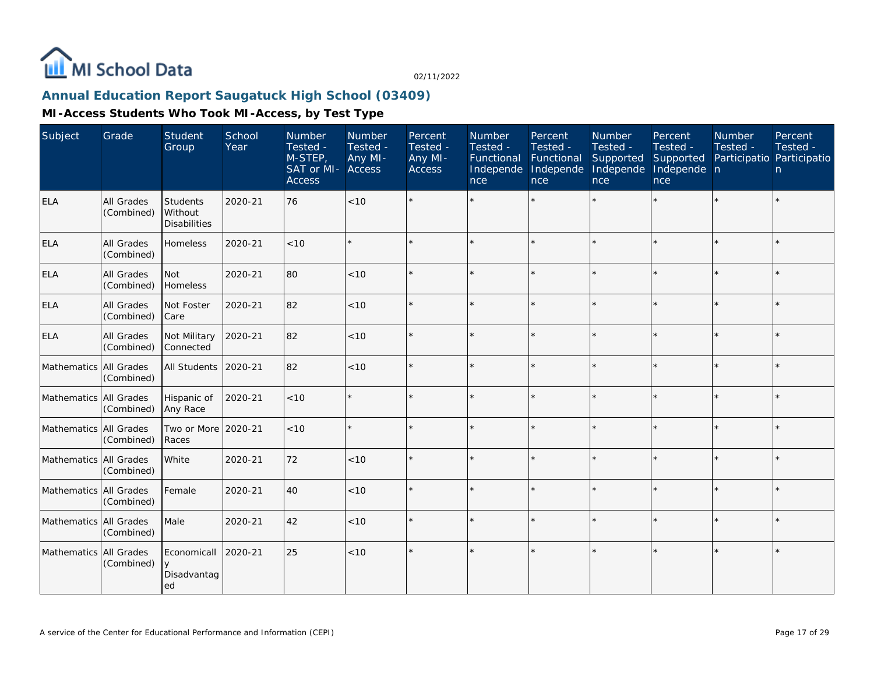

### **Annual Education Report Saugatuck High School (03409)**

| Subject                | Grade                    | <b>Student</b><br>Group                    | School<br>Year | <b>Number</b><br>Tested -<br>M-STEP,<br>SAT or MI-<br><b>Access</b> | Number<br>Tested -<br>Any MI-<br>Access | Percent<br>Tested -<br>Any MI-<br><b>Access</b> | <b>Number</b><br>Tested -<br>Functional<br>Independe<br>nce | Percent<br>Tested -<br>Functional<br>Independe<br>nce | Number<br>Tested -<br>Supported<br>Independe<br>nce | Percent<br>Tested -<br>Supported<br>Independe n<br>nce | <b>Number</b><br>Tested -<br>Participatio Participatio | Percent<br>Tested -<br>n |
|------------------------|--------------------------|--------------------------------------------|----------------|---------------------------------------------------------------------|-----------------------------------------|-------------------------------------------------|-------------------------------------------------------------|-------------------------------------------------------|-----------------------------------------------------|--------------------------------------------------------|--------------------------------------------------------|--------------------------|
| <b>ELA</b>             | All Grades<br>(Combined) | Students<br>Without<br><b>Disabilities</b> | 2020-21        | 76                                                                  | $<10$                                   |                                                 |                                                             |                                                       |                                                     |                                                        |                                                        | $\star$                  |
| <b>ELA</b>             | All Grades<br>(Combined) | Homeless                                   | 2020-21        | < 10                                                                |                                         |                                                 |                                                             |                                                       |                                                     |                                                        |                                                        | $\star$                  |
| <b>ELA</b>             | All Grades<br>(Combined) | Not<br>Homeless                            | 2020-21        | 80                                                                  | < 10                                    |                                                 |                                                             |                                                       |                                                     |                                                        |                                                        | $\star$                  |
| <b>ELA</b>             | All Grades<br>(Combined) | Not Foster<br>l Care                       | 2020-21        | 82                                                                  | < 10                                    |                                                 |                                                             |                                                       |                                                     |                                                        |                                                        | $\star$                  |
| <b>ELA</b>             | All Grades<br>(Combined) | Not Military<br>Connected                  | 2020-21        | 82                                                                  | < 10                                    |                                                 |                                                             |                                                       |                                                     |                                                        |                                                        | $\star$                  |
| Mathematics All Grades | (Combined)               | All Students                               | 2020-21        | 82                                                                  | $<10$                                   |                                                 |                                                             |                                                       |                                                     |                                                        |                                                        | $\star$                  |
| Mathematics All Grades | (Combined)               | Hispanic of<br>Any Race                    | 2020-21        | < 10                                                                |                                         |                                                 |                                                             |                                                       |                                                     |                                                        |                                                        | $\star$                  |
| Mathematics All Grades | (Combined)               | Two or More<br>Races                       | 2020-21        | < 10                                                                |                                         | $\Phi$                                          |                                                             | ÷                                                     |                                                     |                                                        | $\star$                                                | $\star$                  |
| Mathematics All Grades | (Combined)               | White                                      | 2020-21        | 72                                                                  | < 10                                    |                                                 |                                                             |                                                       | ÷                                                   |                                                        |                                                        | $\star$                  |
| Mathematics All Grades | (Combined)               | Female                                     | 2020-21        | 40                                                                  | < 10                                    |                                                 |                                                             |                                                       |                                                     | $\star$                                                |                                                        | $\star$                  |
| Mathematics All Grades | (Combined)               | Male                                       | 2020-21        | 42                                                                  | $<10$                                   |                                                 |                                                             |                                                       |                                                     | $\star$                                                |                                                        | $\star$                  |
| Mathematics            | All Grades<br>(Combined) | Economicall<br>y<br>Disadvantag<br>ed      | 2020-21        | 25                                                                  | $<10$                                   |                                                 |                                                             |                                                       |                                                     |                                                        |                                                        | $\star$                  |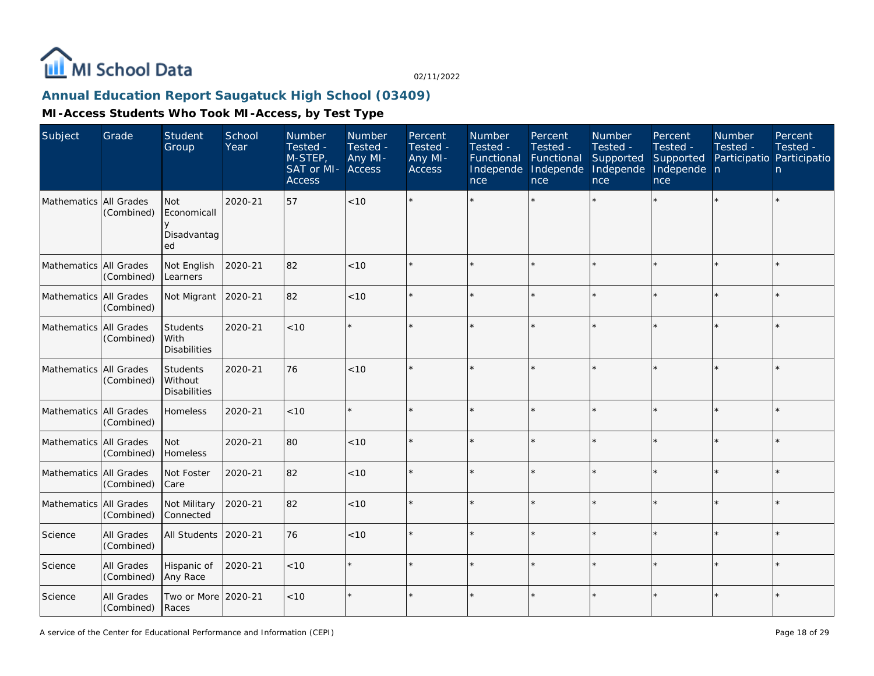

### **Annual Education Report Saugatuck High School (03409)**

| Subject                | Grade                    | <b>Student</b><br>Group                      | School<br>Year | Number<br>Tested -<br>M-STEP,<br>SAT or MI-<br><b>Access</b> | Number<br>Tested -<br>Any MI-<br>Access | Percent<br>Tested -<br>Any MI-<br>Access | Number<br>Tested -<br>Functional<br>Independe<br>nce | Percent<br>Tested -<br>Functional<br>Independe<br>nce | Number<br>Tested -<br>Supported<br>Independe<br>nce | Percent<br>Tested -<br>Supported<br>Independe n<br>nce | Number<br>Tested -<br>Participatio Participatio | Percent<br>Tested -<br>n. |
|------------------------|--------------------------|----------------------------------------------|----------------|--------------------------------------------------------------|-----------------------------------------|------------------------------------------|------------------------------------------------------|-------------------------------------------------------|-----------------------------------------------------|--------------------------------------------------------|-------------------------------------------------|---------------------------|
| Mathematics All Grades | (Combined)               | Not<br>Economicall<br>V<br>Disadvantag<br>ed | 2020-21        | 57                                                           | <10                                     |                                          |                                                      |                                                       |                                                     |                                                        |                                                 | $\star$                   |
| Mathematics All Grades | (Combined)               | Not English<br>Learners                      | 2020-21        | 82                                                           | < 10                                    |                                          |                                                      |                                                       |                                                     |                                                        |                                                 | $\star$                   |
| Mathematics All Grades | (Combined)               | Not Migrant                                  | 2020-21        | 82                                                           | $<10$                                   |                                          |                                                      |                                                       |                                                     |                                                        |                                                 | $\star$                   |
| Mathematics All Grades | (Combined)               | Students<br>l With<br><b>Disabilities</b>    | 2020-21        | < 10                                                         |                                         |                                          |                                                      |                                                       |                                                     |                                                        |                                                 | $\star$                   |
| Mathematics All Grades | (Combined)               | Students<br>Without<br><b>Disabilities</b>   | 2020-21        | 76                                                           | < 10                                    |                                          |                                                      |                                                       |                                                     |                                                        |                                                 | $\star$                   |
| Mathematics All Grades | (Combined)               | Homeless                                     | 2020-21        | < 10                                                         |                                         |                                          |                                                      |                                                       |                                                     |                                                        |                                                 | $\star$                   |
| Mathematics All Grades | (Combined)               | <b>Not</b><br>Homeless                       | 2020-21        | 80                                                           | < 10                                    |                                          |                                                      |                                                       |                                                     |                                                        |                                                 | $\star$                   |
| Mathematics All Grades | (Combined)               | Not Foster<br>Care                           | 2020-21        | 82                                                           | < 10                                    |                                          |                                                      |                                                       |                                                     |                                                        |                                                 | $\star$                   |
| Mathematics All Grades | (Combined)               | Not Military<br>Connected                    | 2020-21        | 82                                                           | $<10$                                   |                                          |                                                      |                                                       |                                                     |                                                        |                                                 | $\star$                   |
| Science                | All Grades<br>(Combined) | All Students                                 | 2020-21        | 76                                                           | < 10                                    |                                          |                                                      |                                                       |                                                     |                                                        |                                                 | $\star$                   |
| Science                | All Grades<br>(Combined) | Hispanic of<br>Any Race                      | 2020-21        | $<10$                                                        |                                         |                                          |                                                      |                                                       |                                                     |                                                        |                                                 | $\star$                   |
| Science                | All Grades<br>(Combined) | Two or More 2020-21<br>Races                 |                | < 10                                                         |                                         |                                          |                                                      |                                                       |                                                     |                                                        |                                                 | $\star$                   |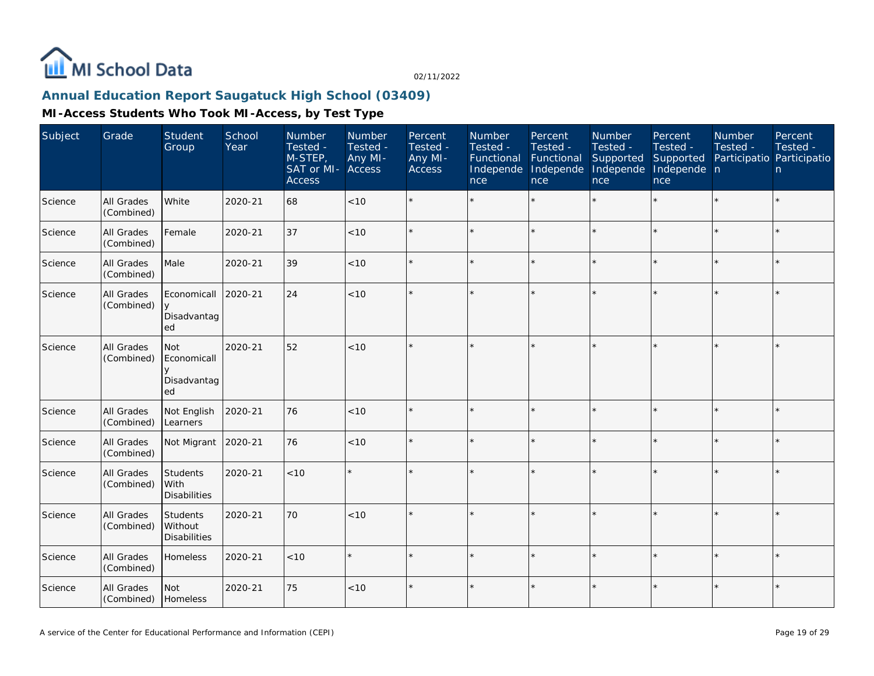

### **Annual Education Report Saugatuck High School (03409)**

| Subject | Grade                    | Student<br>Group                                         | School<br>Year | Number<br>Tested -<br>$M-STEP$<br>SAT or MI-<br><b>Access</b> | Number<br>Tested -<br>Any MI-<br><b>Access</b> | Percent<br>Tested -<br>Any MI-<br>Access | Number<br>Tested -<br>Functional<br>Independe<br>nce | Percent<br>Tested -<br>Functional<br>Independe<br><b>nce</b> | <b>Number</b><br>Tested -<br>Supported<br>Independe<br>nce | Percent<br>Tested -<br>Supported<br>Independe n<br>nce | Number<br>Tested -<br>Participatio Participatio | Percent<br>Tested -<br>n |
|---------|--------------------------|----------------------------------------------------------|----------------|---------------------------------------------------------------|------------------------------------------------|------------------------------------------|------------------------------------------------------|--------------------------------------------------------------|------------------------------------------------------------|--------------------------------------------------------|-------------------------------------------------|--------------------------|
| Science | All Grades<br>(Combined) | White                                                    | 2020-21        | 68                                                            | $<10$                                          |                                          |                                                      |                                                              |                                                            |                                                        |                                                 | $\star$                  |
| Science | All Grades<br>(Combined) | Female                                                   | 2020-21        | 37                                                            | < 10                                           | $\star$                                  |                                                      | $\star$                                                      | $\star$                                                    |                                                        | $\star$                                         | $\star$                  |
| Science | All Grades<br>(Combined) | Male                                                     | 2020-21        | 39                                                            | < 10                                           |                                          |                                                      |                                                              |                                                            |                                                        |                                                 | $\star$                  |
| Science | All Grades<br>(Combined) | Economicall<br>$\mathsf{V}$<br>Disadvantag<br>ed         | 2020-21        | 24                                                            | $<10$                                          |                                          |                                                      |                                                              |                                                            |                                                        |                                                 |                          |
| Science | All Grades<br>(Combined) | <b>Not</b><br>Economicall<br>$\vee$<br>Disadvantag<br>ed | 2020-21        | 52                                                            | $<10$                                          |                                          |                                                      |                                                              |                                                            |                                                        |                                                 | $\star$                  |
| Science | All Grades<br>(Combined) | Not English<br>Learners                                  | 2020-21        | 76                                                            | < 10                                           |                                          |                                                      | $\star$                                                      |                                                            |                                                        | $\star$                                         | $\star$                  |
| Science | All Grades<br>(Combined) | Not Migrant                                              | 2020-21        | 76                                                            | < 10                                           |                                          |                                                      |                                                              |                                                            |                                                        |                                                 | $\star$                  |
| Science | All Grades<br>(Combined) | Students<br>l With<br><b>Disabilities</b>                | 2020-21        | < 10                                                          | $\star$                                        |                                          |                                                      | $\star$                                                      |                                                            |                                                        |                                                 | $\star$                  |
| Science | All Grades<br>(Combined) | Students<br>Without<br><b>Disabilities</b>               | 2020-21        | 70                                                            | < 10                                           | $\star$                                  |                                                      | $\star$                                                      |                                                            |                                                        | ×                                               | ÷.                       |
| Science | All Grades<br>(Combined) | Homeless                                                 | 2020-21        | < 10                                                          |                                                |                                          |                                                      | ÷                                                            |                                                            |                                                        |                                                 | $\star$                  |
| Science | All Grades<br>(Combined) | <b>Not</b><br>Homeless                                   | 2020-21        | 75                                                            | $<10$                                          |                                          |                                                      |                                                              |                                                            |                                                        | $\star$                                         | $\star$                  |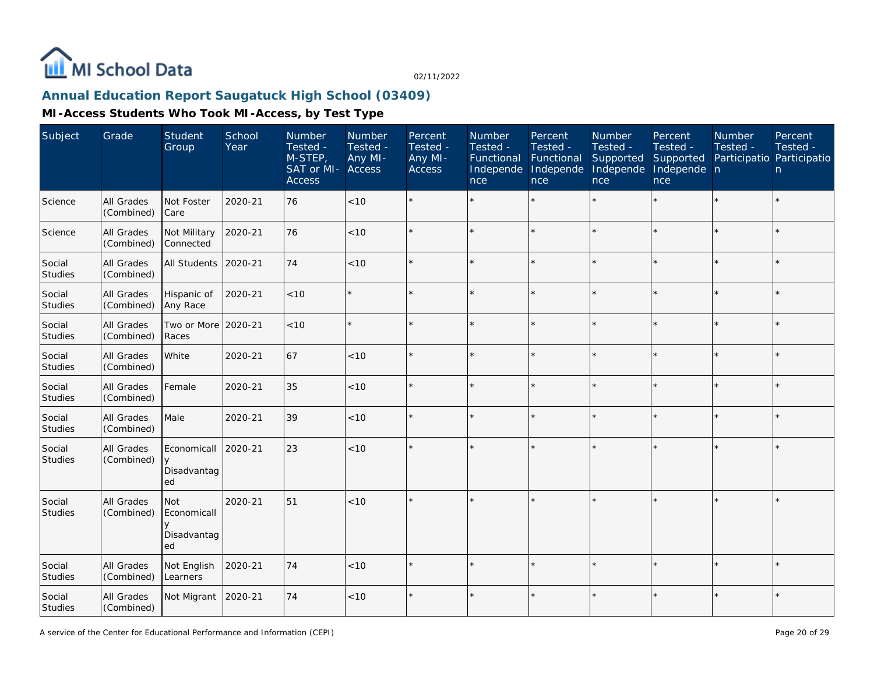

### **Annual Education Report Saugatuck High School (03409)**

| Subject                  | Grade                    | Student<br>Group                               | School<br>Year | Number<br>Tested -<br>$M-STEP$<br>SAT or MI-<br>Access | Number<br>Tested -<br>Any MI-<br>Access | Percent<br>Tested -<br>Any MI-<br><b>Access</b> | Number<br>Tested -<br>Functional<br>Independe<br>nce | Percent<br>Tested -<br>Functional<br>Independe<br>nce | Number<br>Tested -<br>Supported<br>Independe<br>nce | Percent<br>Tested -<br>Supported<br>Independe n<br>nce | Number<br>Tested -<br>Participatio Participatio | Percent<br>Tested -<br>n |
|--------------------------|--------------------------|------------------------------------------------|----------------|--------------------------------------------------------|-----------------------------------------|-------------------------------------------------|------------------------------------------------------|-------------------------------------------------------|-----------------------------------------------------|--------------------------------------------------------|-------------------------------------------------|--------------------------|
| Science                  | All Grades<br>(Combined) | Not Foster<br>Care                             | 2020-21        | 76                                                     | $<10$                                   |                                                 |                                                      | $\star$                                               | ÷                                                   | $\star$                                                |                                                 | $\star$                  |
| Science                  | All Grades<br>(Combined) | Not Military<br>Connected                      | 2020-21        | 76                                                     | < 10                                    |                                                 |                                                      | $\star$                                               |                                                     | $\star$                                                |                                                 | $\star$                  |
| Social<br><b>Studies</b> | All Grades<br>(Combined) | All Students                                   | 2020-21        | 74                                                     | < 10                                    |                                                 |                                                      | $\star$                                               |                                                     | $\star$                                                | $\star$                                         | $\star$                  |
| Social<br>Studies        | All Grades<br>(Combined) | Hispanic of<br>Any Race                        | 2020-21        | $<10$                                                  | $\star$                                 |                                                 |                                                      | $\star$                                               |                                                     |                                                        |                                                 | $\star$                  |
| Social<br><b>Studies</b> | All Grades<br>(Combined) | Two or More 2020-21<br>Races                   |                | $<10$                                                  | $\star$                                 |                                                 |                                                      | $\star$                                               |                                                     | ×.                                                     |                                                 | $\star$                  |
| Social<br>Studies        | All Grades<br>(Combined) | White                                          | 2020-21        | 67                                                     | $<10$                                   |                                                 |                                                      |                                                       |                                                     | ×.                                                     |                                                 | $\star$                  |
| Social<br>Studies        | All Grades<br>(Combined) | Female                                         | 2020-21        | 35                                                     | $<10$                                   |                                                 |                                                      |                                                       |                                                     | ×.                                                     |                                                 | $\star$                  |
| Social<br><b>Studies</b> | All Grades<br>(Combined) | Male                                           | 2020-21        | 39                                                     | < 10                                    |                                                 |                                                      | $\star$                                               |                                                     | ×.                                                     | $\star$                                         | $\star$                  |
| Social<br><b>Studies</b> | All Grades<br>(Combined) | Economicall<br>Disadvantag<br>ed               | 2020-21        | 23                                                     | $<10$                                   |                                                 |                                                      | $\star$                                               |                                                     | $\star$                                                |                                                 | $\star$                  |
| Social<br><b>Studies</b> | All Grades<br>(Combined) | <b>Not</b><br>Economicall<br>Disadvantag<br>ed | 2020-21        | 51                                                     | < 10                                    |                                                 |                                                      | $\star$                                               |                                                     | $\star$                                                |                                                 | k.                       |
| Social<br>Studies        | All Grades<br>(Combined) | Not English<br>Learners                        | 2020-21        | 74                                                     | < 10                                    |                                                 |                                                      | ÷                                                     |                                                     |                                                        |                                                 | $\star$                  |
| Social<br>Studies        | All Grades<br>(Combined) | Not Migrant                                    | 2020-21        | 74                                                     | < 10                                    |                                                 |                                                      | $\star$                                               |                                                     | $\star$                                                | $\star$                                         | $\star$                  |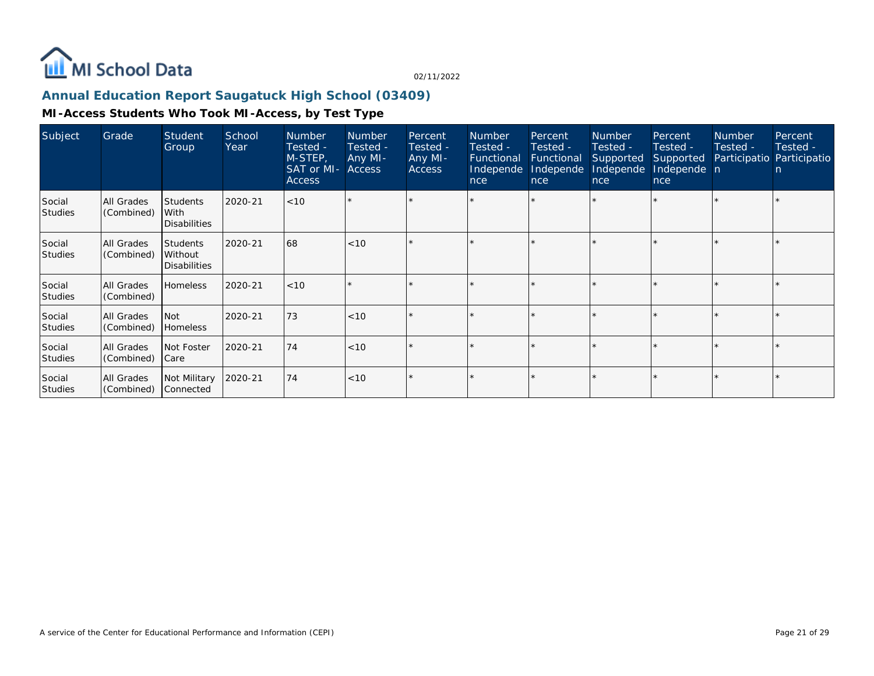

### **Annual Education Report Saugatuck High School (03409)**

| Subject                  | Grade                    | Student<br>Group                                    | School<br>Year | <b>Number</b><br>Tested -<br>M-STEP,<br>SAT or MI-<br><b>Access</b> | <b>Number</b><br>Tested -<br>Any MI-<br><b>Access</b> | Percent<br>Tested -<br>Any MI-<br><b>Access</b> | <b>Number</b><br>Tested -<br>Functional<br>Independe<br>nce | Percent<br>Tested -<br>Functional<br>Independe<br>nce | <b>Number</b><br>Tested -<br>Supported<br>Independe<br>nce | Percent<br>Tested -<br>Supported<br>Independe n<br>nce | <b>Number</b><br>Tested - | Percent<br>Tested -<br>Participatio Participatio<br>n. |
|--------------------------|--------------------------|-----------------------------------------------------|----------------|---------------------------------------------------------------------|-------------------------------------------------------|-------------------------------------------------|-------------------------------------------------------------|-------------------------------------------------------|------------------------------------------------------------|--------------------------------------------------------|---------------------------|--------------------------------------------------------|
| Social<br><b>Studies</b> | All Grades<br>(Combined) | <b>Students</b><br>With<br><b>Disabilities</b>      | 2020-21        | < 10                                                                |                                                       |                                                 |                                                             |                                                       |                                                            |                                                        |                           |                                                        |
| Social<br><b>Studies</b> | All Grades<br>(Combined) | <b>Students</b><br>l Without<br><b>Disabilities</b> | 2020-21        | 68                                                                  | < 10                                                  |                                                 |                                                             |                                                       |                                                            |                                                        |                           |                                                        |
| Social<br><b>Studies</b> | All Grades<br>(Combined) | Homeless                                            | 2020-21        | < 10                                                                |                                                       |                                                 |                                                             | $\star$                                               |                                                            |                                                        |                           |                                                        |
| Social<br>Studies        | All Grades<br>(Combined) | l Not<br>Homeless                                   | 2020-21        | 73                                                                  | < 10                                                  |                                                 |                                                             |                                                       |                                                            |                                                        |                           |                                                        |
| Social<br><b>Studies</b> | All Grades<br>(Combined) | Not Foster<br> Care                                 | 2020-21        | 74                                                                  | < 10                                                  |                                                 |                                                             |                                                       |                                                            |                                                        |                           |                                                        |
| Social<br><b>Studies</b> | All Grades<br>(Combined) | Not Military<br>Connected                           | 2020-21        | 74                                                                  | < 10                                                  |                                                 |                                                             |                                                       |                                                            |                                                        |                           |                                                        |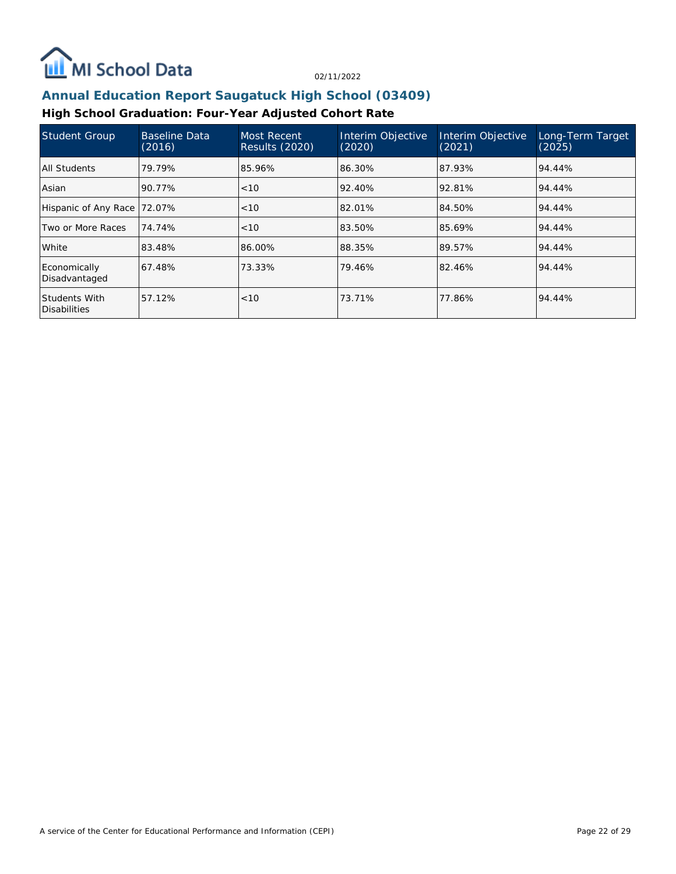

### **Annual Education Report Saugatuck High School (03409)**

### **High School Graduation: Four-Year Adjusted Cohort Rate**

| <b>Student Group</b>                 | <b>Baseline Data</b><br>(2016) | Most Recent<br><b>Results (2020)</b> | Interim Objective<br>(2020) | Interim Objective<br>(2021) | Long-Term Target<br>(2025) |
|--------------------------------------|--------------------------------|--------------------------------------|-----------------------------|-----------------------------|----------------------------|
| All Students                         | 79.79%                         | 85.96%                               | 86.30%                      | 87.93%                      | 94.44%                     |
| Asian                                | 90.77%                         | < 10                                 | 92.40%                      | 92.81%                      | 94.44%                     |
| Hispanic of Any Race                 | 72.07%                         | < 10                                 | 82.01%                      | 84.50%                      | 94.44%                     |
| Two or More Races                    | 74.74%                         | < 10                                 | 83.50%                      | 85.69%                      | 94.44%                     |
| White                                | 83.48%                         | 86.00%                               | 88.35%                      | 89.57%                      | 94.44%                     |
| Economically<br>Disadvantaged        | 67.48%                         | 73.33%                               | 79.46%                      | 82.46%                      | 94.44%                     |
| Students With<br><b>Disabilities</b> | 57.12%                         | < 10                                 | 73.71%                      | 77.86%                      | 94.44%                     |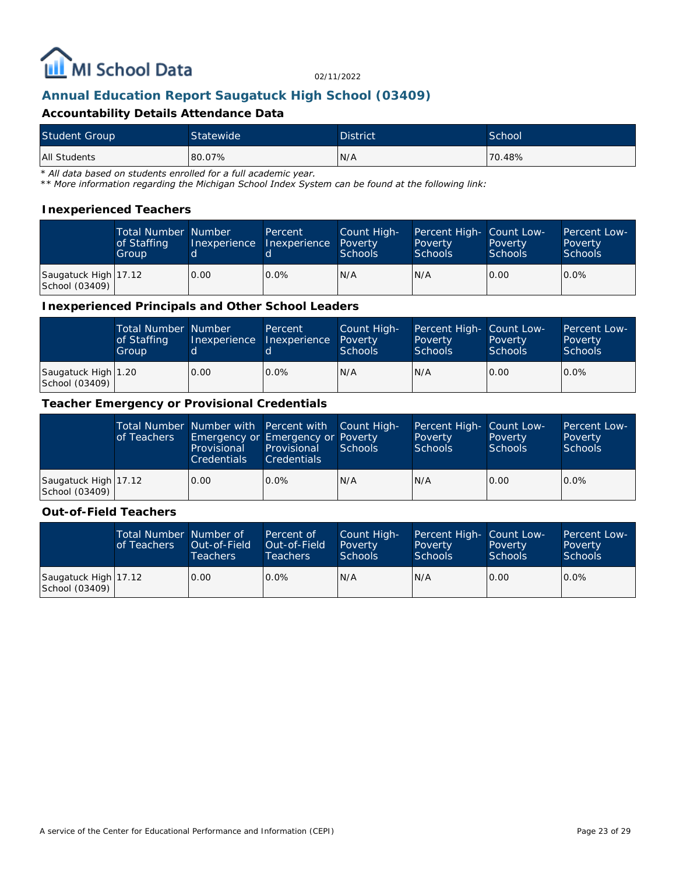

### **Annual Education Report Saugatuck High School (03409)**

#### **Accountability Details Attendance Data**

| <b>Student Group</b> | Statewide | <b>District</b> | School |
|----------------------|-----------|-----------------|--------|
| All Students         | 80.07%    | N/A             | 70.48% |

*\* All data based on students enrolled for a full academic year.*

*\*\* More information regarding the Michigan School Index System can be found at the following link:*

#### **Inexperienced Teachers**

|                                        | <b>Total Number Number</b><br>of Staffing<br>Group | Inexperience Inexperience | Percent | Count High-<br>Poverty<br><b>Schools</b> | Percent High- Count Low-<br>Poverty<br><b>Schools</b> | Poverty<br><b>Schools</b> | Percent Low-<br>Poverty<br><b>Schools</b> |
|----------------------------------------|----------------------------------------------------|---------------------------|---------|------------------------------------------|-------------------------------------------------------|---------------------------|-------------------------------------------|
| Saugatuck High 17.12<br>School (03409) |                                                    | 0.00                      | $0.0\%$ | IN/A                                     | N/A                                                   | 0.00                      | $0.0\%$                                   |

#### **Inexperienced Principals and Other School Leaders**

|                                       | <b>Total Number Number</b><br>of Staffing<br>Group |      | Percent<br>Inexperience Inexperience | Count High-<br>Poverty<br><b>Schools</b> | Percent High- Count Low-<br>Poverty<br><b>Schools</b> | Poverty<br><b>Schools</b> | Percent Low-<br>Poverty<br><b>Schools</b> |
|---------------------------------------|----------------------------------------------------|------|--------------------------------------|------------------------------------------|-------------------------------------------------------|---------------------------|-------------------------------------------|
| Saugatuck High 1.20<br>School (03409) |                                                    | 0.00 | $0.0\%$                              | N/A                                      | N/A                                                   | 0.00                      | $0.0\%$                                   |

#### **Teacher Emergency or Provisional Credentials**

|                                        | of Teachers | Provisional<br><b>Credentials</b> | Total Number Number with Percent with Count High-<br>Emergency or Emergency or Poverty<br><b>Provisional</b><br><b>Credentials</b> | Schools | Percent High- Count Low-<br>Poverty<br><b>Schools</b> | Poverty<br><b>Schools</b> | <b>Percent Low-</b><br>Poverty<br>Schools |
|----------------------------------------|-------------|-----------------------------------|------------------------------------------------------------------------------------------------------------------------------------|---------|-------------------------------------------------------|---------------------------|-------------------------------------------|
| Saugatuck High 17.12<br>School (03409) |             | 0.00                              | $0.0\%$                                                                                                                            | N/A     | N/A                                                   | 0.00                      | $0.0\%$                                   |

#### **Out-of-Field Teachers**

|                                        | Total Number Number of<br>of Teachers | Out-of-Field<br><b>Teachers</b> | Percent of<br>Out-of-Field<br>Teachers | Count High-<br>Poverty<br><b>Schools</b> | Percent High- Count Low-<br>Poverty<br><b>Schools</b> | Poverty<br><b>Schools</b> | Percent Low-<br>Poverty<br>Schools |
|----------------------------------------|---------------------------------------|---------------------------------|----------------------------------------|------------------------------------------|-------------------------------------------------------|---------------------------|------------------------------------|
| Saugatuck High 17.12<br>School (03409) |                                       | 0.00                            | $0.0\%$                                | N/A                                      | N/A                                                   | 0.00                      | $0.0\%$                            |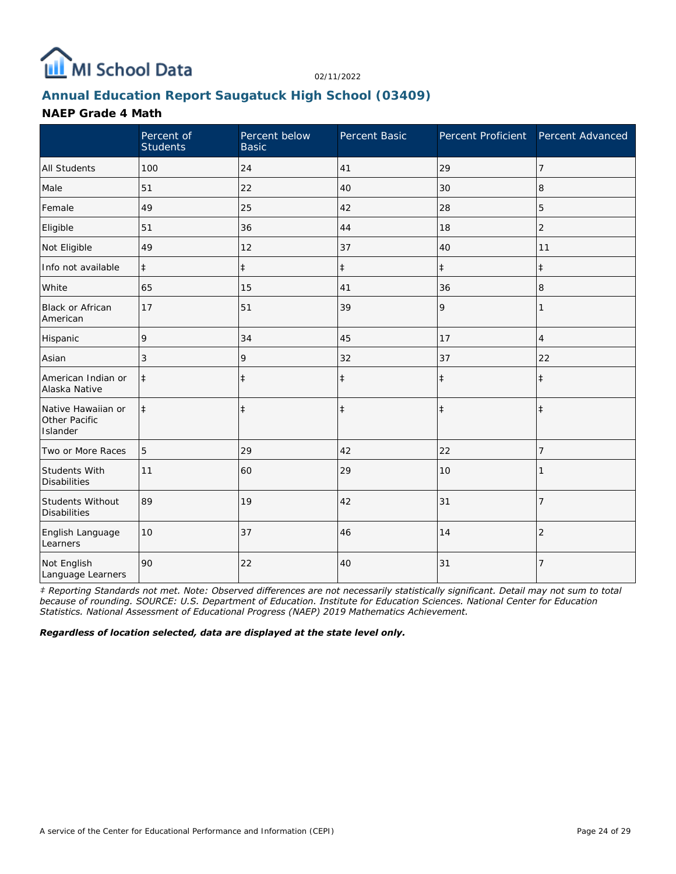

# **Annual Education Report Saugatuck High School (03409)**

### **NAEP Grade 4 Math**

|                                                 | Percent of<br><b>Students</b> | Percent below<br><b>Basic</b> | Percent Basic | Percent Proficient Percent Advanced |                |
|-------------------------------------------------|-------------------------------|-------------------------------|---------------|-------------------------------------|----------------|
| <b>All Students</b>                             | 100                           | 24                            | 41            | 29                                  | $\overline{7}$ |
| Male                                            | 51                            | 22                            | 40            | 30                                  | 8              |
| Female                                          | 49                            | 25                            | 42            | 28                                  | 5              |
| Eligible                                        | 51                            | 36                            | 44            | 18                                  | $\overline{2}$ |
| Not Eligible                                    | 49                            | 12                            | 37            | 40                                  | 11             |
| Info not available                              | $\ddagger$                    | $\ddagger$                    | $\ddagger$    | $\ddagger$                          | $\ddagger$     |
| White                                           | 65                            | 15                            | 41            | 36                                  | 8              |
| <b>Black or African</b><br>American             | 17                            | 51                            | 39            | 9                                   |                |
| Hispanic                                        | 9                             | 34                            | 45            | 17                                  | $\overline{4}$ |
| Asian                                           | 3                             | 9                             | 32            | 37                                  | 22             |
| American Indian or<br>Alaska Native             | $\ddagger$                    | $\ddagger$                    | $\ddagger$    | $\ddagger$                          | $\ddagger$     |
| Native Hawaiian or<br>Other Pacific<br>Islander | $\ddagger$                    | $\ddagger$                    | $\ddagger$    | $\ddagger$                          | $\ddagger$     |
| Two or More Races                               | 5                             | 29                            | 42            | 22                                  | $\overline{7}$ |
| <b>Students With</b><br><b>Disabilities</b>     | 11                            | 60                            | 29            | 10                                  |                |
| Students Without<br><b>Disabilities</b>         | 89                            | 19                            | 42            | 31                                  | $\overline{7}$ |
| English Language<br>Learners                    | 10                            | 37                            | 46            | 14                                  | $\overline{2}$ |
| Not English<br>Language Learners                | 90                            | 22                            | 40            | 31                                  | $\overline{7}$ |

*‡ Reporting Standards not met. Note: Observed differences are not necessarily statistically significant. Detail may not sum to total because of rounding. SOURCE: U.S. Department of Education. Institute for Education Sciences. National Center for Education Statistics. National Assessment of Educational Progress (NAEP) 2019 Mathematics Achievement.*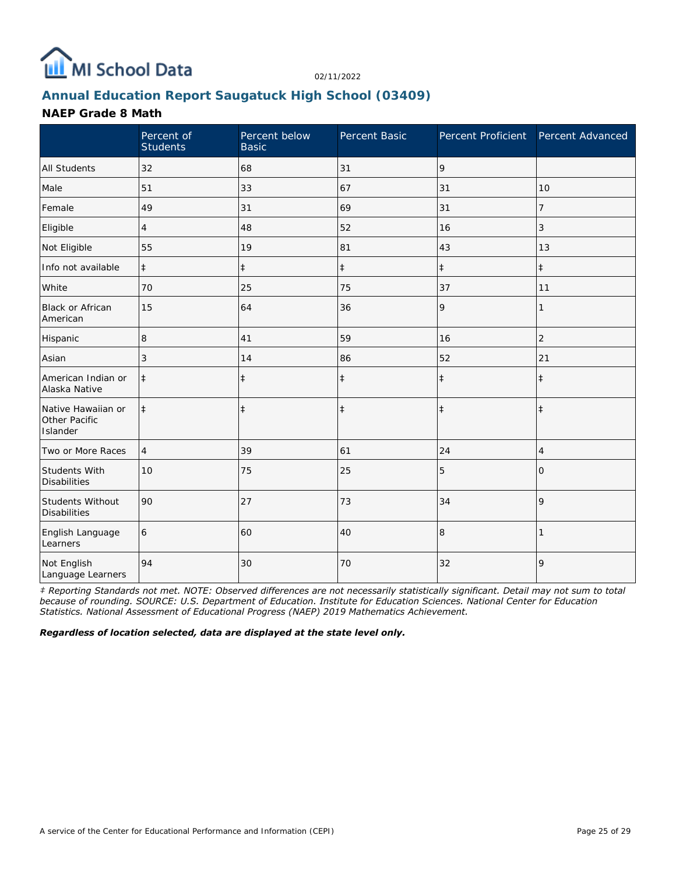

# **Annual Education Report Saugatuck High School (03409)**

### **NAEP Grade 8 Math**

|                                                 | Percent of<br><b>Students</b> | Percent below<br><b>Basic</b> | Percent Basic | Percent Proficient Percent Advanced |                |
|-------------------------------------------------|-------------------------------|-------------------------------|---------------|-------------------------------------|----------------|
| <b>All Students</b>                             | 32                            | 68                            | 31            | 9                                   |                |
| Male                                            | 51                            | 33                            | 67            | 31                                  | 10             |
| Female                                          | 49                            | 31                            | 69            | 31                                  | 7              |
| Eligible                                        | 4                             | 48                            | 52            | 16                                  | 3              |
| Not Eligible                                    | 55                            | 19                            | 81            | 43                                  | 13             |
| Info not available                              | $\ddagger$                    | $\ddagger$                    | $\ddagger$    | $\ddagger$                          | $\ddagger$     |
| White                                           | 70                            | 25                            | 75            | 37                                  | 11             |
| <b>Black or African</b><br>American             | 15                            | 64                            | 36            | 9                                   | 1              |
| Hispanic                                        | 8                             | 41                            | 59            | 16                                  | $\overline{2}$ |
| Asian                                           | 3                             | 14                            | 86            | 52                                  | 21             |
| American Indian or<br>Alaska Native             | $\ddagger$                    | $\ddagger$                    | $\ddagger$    | $\ddagger$                          | $\ddagger$     |
| Native Hawaiian or<br>Other Pacific<br>Islander | $\ddagger$                    | $\ddagger$                    | $\ddagger$    | $\ddagger$                          | $\ddagger$     |
| Two or More Races                               | $\overline{4}$                | 39                            | 61            | 24                                  | 4              |
| Students With<br><b>Disabilities</b>            | 10                            | 75                            | 25            | 5                                   | $\Omega$       |
| Students Without<br><b>Disabilities</b>         | 90                            | 27                            | 73            | 34                                  | 9              |
| English Language<br>Learners                    | 6                             | 60                            | 40            | 8                                   |                |
| Not English<br>Language Learners                | 94                            | 30                            | 70            | 32                                  | 9              |

*‡ Reporting Standards not met. NOTE: Observed differences are not necessarily statistically significant. Detail may not sum to total because of rounding. SOURCE: U.S. Department of Education. Institute for Education Sciences. National Center for Education Statistics. National Assessment of Educational Progress (NAEP) 2019 Mathematics Achievement.*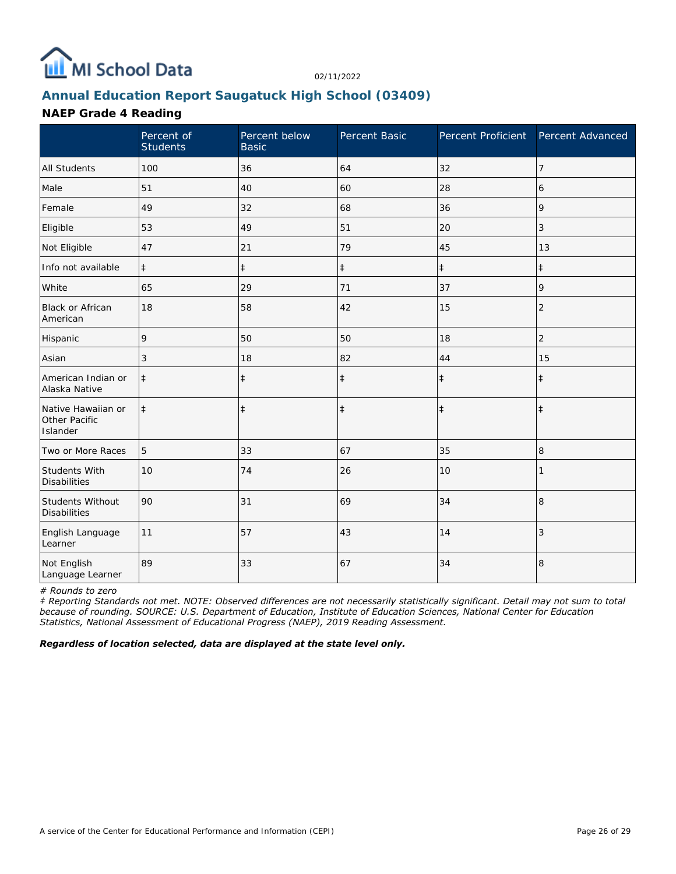

# **Annual Education Report Saugatuck High School (03409)**

### **NAEP Grade 4 Reading**

|                                                 | Percent of<br><b>Students</b> | Percent below<br><b>Basic</b> | Percent Basic | Percent Proficient | Percent Advanced |
|-------------------------------------------------|-------------------------------|-------------------------------|---------------|--------------------|------------------|
| <b>All Students</b>                             | 100                           | 36                            | 64            | 32                 | $\overline{7}$   |
| Male                                            | 51                            | 40                            | 60            | 28                 | 6                |
| Female                                          | 49                            | 32                            | 68            | 36                 | 9                |
| Eligible                                        | 53                            | 49                            | 51            | 20                 | 3                |
| Not Eligible                                    | 47                            | 21                            | 79            | 45                 | 13               |
| Info not available                              | $\ddagger$                    | $\ddagger$                    | $\ddagger$    | $\ddagger$         | $\pm$            |
| White                                           | 65                            | 29                            | 71            | 37                 | 9                |
| Black or African<br>American                    | 18                            | 58                            | 42            | 15                 | $\overline{2}$   |
| Hispanic                                        | 9                             | 50                            | 50            | 18                 | $\overline{c}$   |
| Asian                                           | 3                             | 18                            | 82            | 44                 | 15               |
| American Indian or<br>Alaska Native             | $\ddagger$                    | $\ddagger$                    | $\ddagger$    | $\ddagger$         | $\ddagger$       |
| Native Hawaiian or<br>Other Pacific<br>Islander | $\ddagger$                    | $\ddagger$                    | $\ddagger$    | $\ddagger$         | $\ddagger$       |
| Two or More Races                               | 5                             | 33                            | 67            | 35                 | 8                |
| <b>Students With</b><br><b>Disabilities</b>     | 10                            | 74                            | 26            | 10                 |                  |
| Students Without<br><b>Disabilities</b>         | 90                            | 31                            | 69            | 34                 | $\,8\,$          |
| English Language<br>Learner                     | 11                            | 57                            | 43            | 14                 | 3                |
| Not English<br>Language Learner                 | 89                            | 33                            | 67            | 34                 | 8                |

*# Rounds to zero*

*‡ Reporting Standards not met. NOTE: Observed differences are not necessarily statistically significant. Detail may not sum to total because of rounding. SOURCE: U.S. Department of Education, Institute of Education Sciences, National Center for Education Statistics, National Assessment of Educational Progress (NAEP), 2019 Reading Assessment.*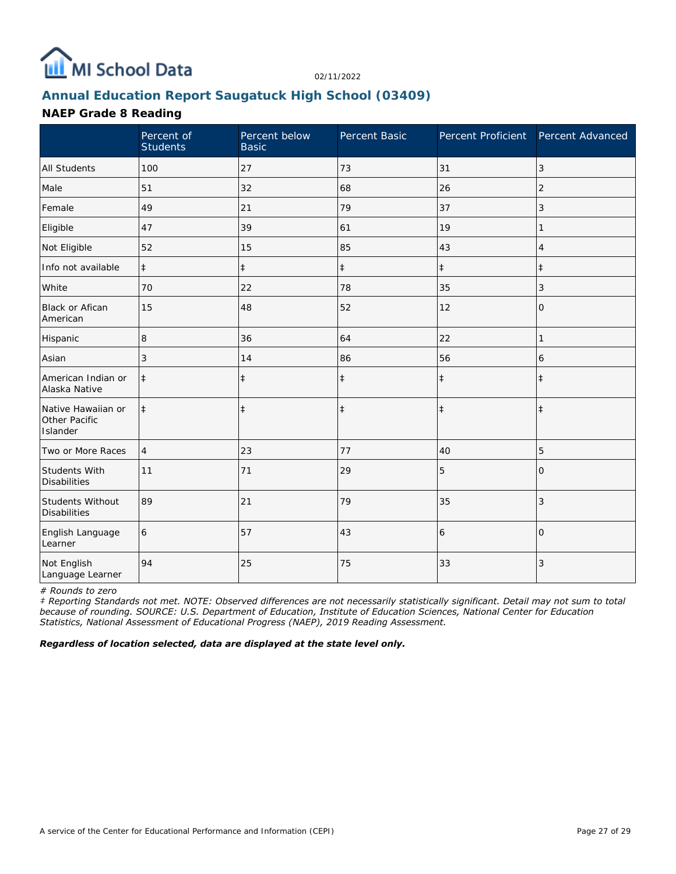

# **Annual Education Report Saugatuck High School (03409)**

### **NAEP Grade 8 Reading**

|                                                 | Percent of<br><b>Students</b> | Percent below<br><b>Basic</b> | Percent Basic | Percent Proficient Percent Advanced |                |
|-------------------------------------------------|-------------------------------|-------------------------------|---------------|-------------------------------------|----------------|
| <b>All Students</b>                             | 100                           | 27                            | 73            | 31                                  | 3              |
| Male                                            | 51                            | 32                            | 68            | 26                                  | $\overline{2}$ |
| Female                                          | 49                            | 21                            | 79            | 37                                  | 3              |
| Eligible                                        | 47                            | 39                            | 61            | 19                                  |                |
| Not Eligible                                    | 52                            | 15                            | 85            | 43                                  | 4              |
| Info not available                              | $\ddagger$                    | $\ddagger$                    | $\ddagger$    | $\ddagger$                          | $\pm$          |
| White                                           | 70                            | 22                            | 78            | 35                                  | 3              |
| <b>Black or Afican</b><br>American              | 15                            | 48                            | 52            | 12                                  | 0              |
| Hispanic                                        | 8                             | 36                            | 64            | 22                                  | 1              |
| Asian                                           | 3                             | 14                            | 86            | 56                                  | 6              |
| American Indian or<br>Alaska Native             | $\ddagger$                    | $\ddagger$                    | $\ddagger$    | $\ddagger$                          | $\ddagger$     |
| Native Hawaiian or<br>Other Pacific<br>Islander | $\ddagger$                    | $\ddagger$                    | $\ddagger$    | $\ddagger$                          | $\ddagger$     |
| Two or More Races                               | 4                             | 23                            | 77            | 40                                  | 5              |
| <b>Students With</b><br><b>Disabilities</b>     | 11                            | 71                            | 29            | 5                                   | $\Omega$       |
| Students Without<br><b>Disabilities</b>         | 89                            | 21                            | 79            | 35                                  | 3              |
| English Language<br>Learner                     | 6                             | 57                            | 43            | 6                                   | $\Omega$       |
| Not English<br>Language Learner                 | 94                            | 25                            | 75            | 33                                  | 3              |

*# Rounds to zero*

*‡ Reporting Standards not met. NOTE: Observed differences are not necessarily statistically significant. Detail may not sum to total because of rounding. SOURCE: U.S. Department of Education, Institute of Education Sciences, National Center for Education Statistics, National Assessment of Educational Progress (NAEP), 2019 Reading Assessment.*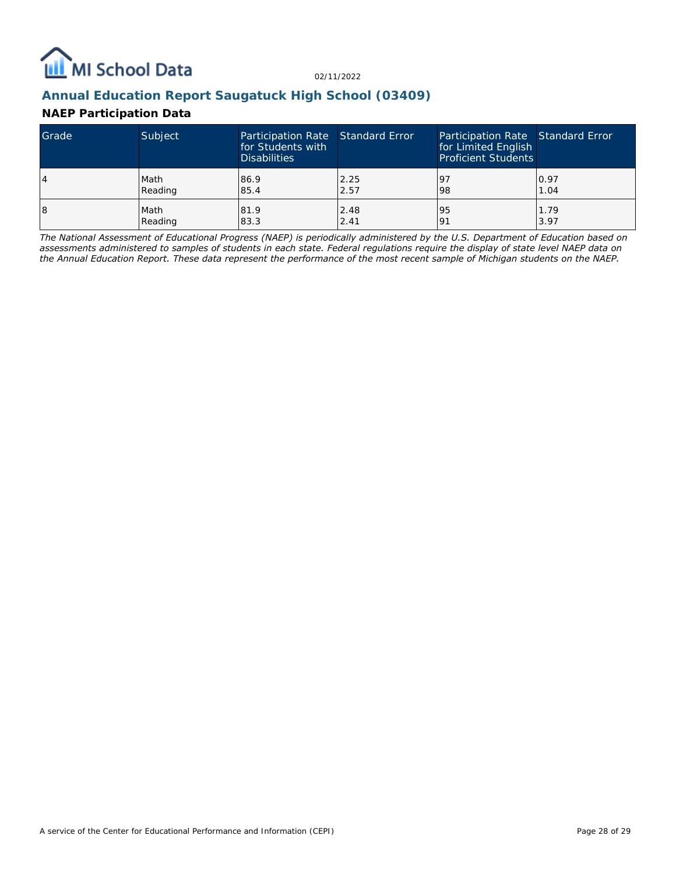

### **Annual Education Report Saugatuck High School (03409)**

### **NAEP Participation Data**

| Grade | Subject | Participation Rate Standard Error<br>for Students with<br><b>Disabilities</b> |      | Participation Rate Standard Error<br>for Limited English<br><b>Proficient Students</b> |      |
|-------|---------|-------------------------------------------------------------------------------|------|----------------------------------------------------------------------------------------|------|
| 4     | Math    | 86.9                                                                          | 2.25 | <u>l</u> 9                                                                             | 0.97 |
|       | Reading | 85.4                                                                          | 2.57 | 98                                                                                     | 1.04 |
| 18    | Math    | 81.9                                                                          | 2.48 | 95                                                                                     | 1.79 |
|       | Reading | 83.3                                                                          | 2.41 | 191                                                                                    | 3.97 |

*The National Assessment of Educational Progress (NAEP) is periodically administered by the U.S. Department of Education based on assessments administered to samples of students in each state. Federal regulations require the display of state level NAEP data on the Annual Education Report. These data represent the performance of the most recent sample of Michigan students on the NAEP.*